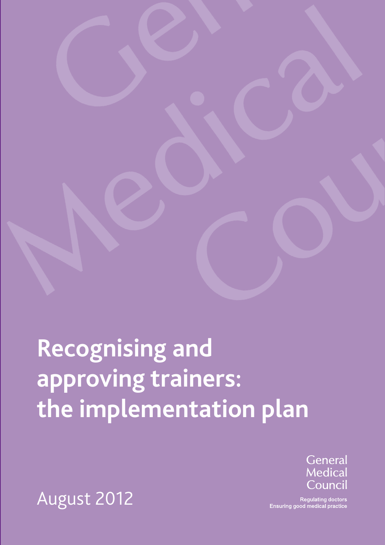**Recognising and approving trainers: the implementation plan**



**Regulating doctors** Ensuring good medical practice

August 2012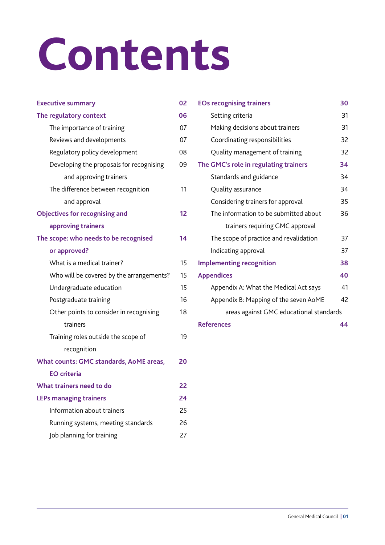## **Contents**

| <b>Executive summary</b>                      |    |  |
|-----------------------------------------------|----|--|
| The regulatory context                        |    |  |
| The importance of training                    | 07 |  |
| Reviews and developments                      | 07 |  |
| Regulatory policy development                 |    |  |
| Developing the proposals for recognising      | 09 |  |
| and approving trainers                        |    |  |
| The difference between recognition            | 11 |  |
| and approval                                  |    |  |
| <b>Objectives for recognising and</b>         | 12 |  |
| approving trainers                            |    |  |
| The scope: who needs to be recognised         |    |  |
| or approved?                                  |    |  |
| What is a medical trainer?                    | 15 |  |
| Who will be covered by the arrangements?      | 15 |  |
| Undergraduate education                       | 15 |  |
| Postgraduate training                         | 16 |  |
| Other points to consider in recognising       | 18 |  |
| trainers                                      |    |  |
| Training roles outside the scope of           | 19 |  |
| recognition                                   |    |  |
| What counts: GMC standards, AoME areas,<br>20 |    |  |
| <b>EO</b> criteria                            |    |  |
| What trainers need to do                      | 22 |  |
| <b>LEPs managing trainers</b><br>24           |    |  |
| Information about trainers                    | 25 |  |
| Running systems, meeting standards            | 26 |  |
| Job planning for training                     | 27 |  |

| <b>EOs recognising trainers</b>         |    |  |  |
|-----------------------------------------|----|--|--|
| Setting criteria                        | 31 |  |  |
| Making decisions about trainers         | 31 |  |  |
| Coordinating responsibilities           | 32 |  |  |
| Quality management of training          | 32 |  |  |
| The GMC's role in regulating trainers   |    |  |  |
| Standards and guidance                  | 34 |  |  |
| Quality assurance                       | 34 |  |  |
| Considering trainers for approval       | 35 |  |  |
| The information to be submitted about   | 36 |  |  |
| trainers requiring GMC approval         |    |  |  |
| The scope of practice and revalidation  | 37 |  |  |
| Indicating approval                     | 37 |  |  |
| <b>Implementing recognition</b>         | 38 |  |  |
| <b>Appendices</b>                       | 40 |  |  |
| Appendix A: What the Medical Act says   | 41 |  |  |
| Appendix B: Mapping of the seven AoME   | 42 |  |  |
| areas against GMC educational standards |    |  |  |
| <b>References</b>                       |    |  |  |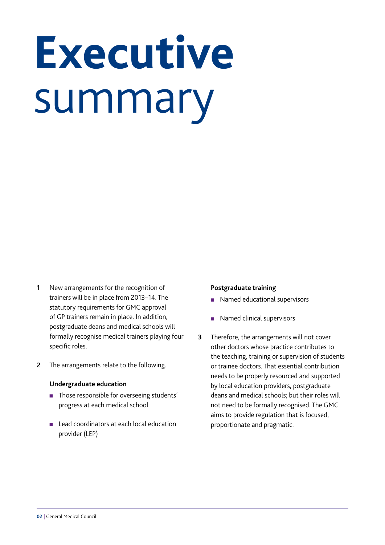## <span id="page-3-0"></span>**Executive** summary

- **1** New arrangements for the recognition of trainers will be in place from 2013–14. The statutory requirements for GMC approval of GP trainers remain in place. In addition, postgraduate deans and medical schools will formally recognise medical trainers playing four specific roles.
- **2** The arrangements relate to the following.

#### **Undergraduate education**

- **n** Those responsible for overseeing students' progress at each medical school
- Lead coordinators at each local education provider (LEP)

#### **Postgraduate training**

- Named educational supervisors
- Named clinical supervisors
- **3** Therefore, the arrangements will not cover other doctors whose practice contributes to the teaching, training or supervision of students or trainee doctors. That essential contribution needs to be properly resourced and supported by local education providers, postgraduate deans and medical schools; but their roles will not need to be formally recognised. The GMC aims to provide regulation that is focused, proportionate and pragmatic.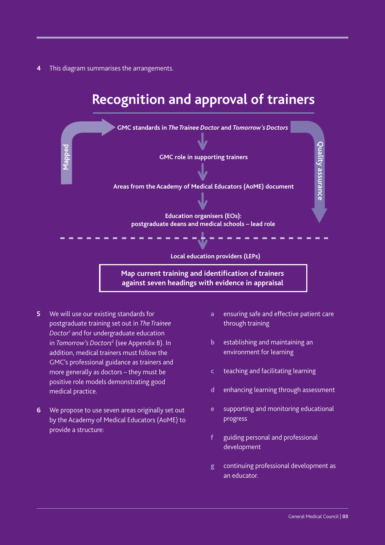**4** This diagram summarises the arrangements.

## **Recognition and approval of trainers**



- **5** We will use our existing standards for postgraduate training set out in *[The Trainee](http://www.gmc-uk.org/education/postgraduate/standards_and_guidance.asp)  [Doctor](http://www.gmc-uk.org/education/postgraduate/standards_and_guidance.asp)*<sup>1</sup> and for undergraduate education in *[Tomorrow's Doctors](http://www.gmc-uk.org/education/undergraduate/tomorrows_doctors.asp)*<sup>2</sup> (see [Appendix B\)](#page-43-0). In addition, medical trainers must follow the GMC's professional guidance as trainers and more generally as doctors – they must be positive role models demonstrating good medical practice.
- **6** We propose to use seven areas originally set out by the Academy of Medical Educators (AoME) to provide a structure:
- **a** ensuring safe and effective patient care through training
- **b** establishing and maintaining an environment for learning
- **c** teaching and facilitating learning
- **d** enhancing learning through assessment
- **e** supporting and monitoring educational progress
- **f** guiding personal and professional development
- **g** continuing professional development as an educator.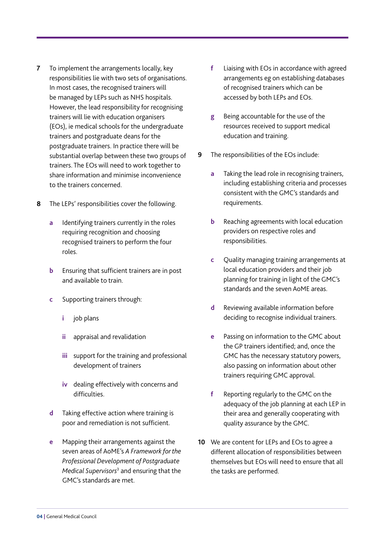- **7** To implement the arrangements locally, key responsibilities lie with two sets of organisations. In most cases, the recognised trainers will be managed by LEPs such as NHS hospitals. However, the lead responsibility for recognising trainers will lie with education organisers (EOs), ie medical schools for the undergraduate trainers and postgraduate deans for the postgraduate trainers. In practice there will be substantial overlap between these two groups of trainers. The EOs will need to work together to share information and minimise inconvenience to the trainers concerned.
- **8** The LEPs' responsibilities cover the following.
	- **a** Identifying trainers currently in the roles requiring recognition and choosing recognised trainers to perform the four roles.
	- **b** Ensuring that sufficient trainers are in post and available to train.
	- **c** Supporting trainers through:
		- **i** job plans
		- **ii** appraisal and revalidation
		- **iii** support for the training and professional development of trainers
		- **iv** dealing effectively with concerns and difficulties.
	- **d** Taking effective action where training is poor and remediation is not sufficient.
	- **e** Mapping their arrangements against the seven areas of AoME's *[A Framework for the](http://www.medicaleducators.org/index.cfm/linkservid/C575BBE4-F39B-4267-31A42C8B64F0D3DE/showMeta/0/)  [Professional Development of Postgraduate](http://www.medicaleducators.org/index.cfm/linkservid/C575BBE4-F39B-4267-31A42C8B64F0D3DE/showMeta/0/)  [Medical Supervisors](http://www.medicaleducators.org/index.cfm/linkservid/C575BBE4-F39B-4267-31A42C8B64F0D3DE/showMeta/0/)*<sup>3</sup> and ensuring that the GMC's standards are met.
- **f** Liaising with EOs in accordance with agreed arrangements eg on establishing databases of recognised trainers which can be accessed by both LEPs and EOs.
- **g** Being accountable for the use of the resources received to support medical education and training.
- **9** The responsibilities of the EOs include:
	- **a** Taking the lead role in recognising trainers, including establishing criteria and processes consistent with the GMC's standards and requirements.
	- **b** Reaching agreements with local education providers on respective roles and responsibilities.
	- **c** Quality managing training arrangements at local education providers and their job planning for training in light of the GMC's standards and the seven AoME areas.
	- **d** Reviewing available information before deciding to recognise individual trainers.
	- **e** Passing on information to the GMC about the GP trainers identified; and, once the GMC has the necessary statutory powers, also passing on information about other trainers requiring GMC approval.
	- **f** Reporting regularly to the GMC on the adequacy of the job planning at each LEP in their area and generally cooperating with quality assurance by the GMC.
- **10** We are content for LEPs and EOs to agree a different allocation of responsibilities between themselves but EOs will need to ensure that all the tasks are performed.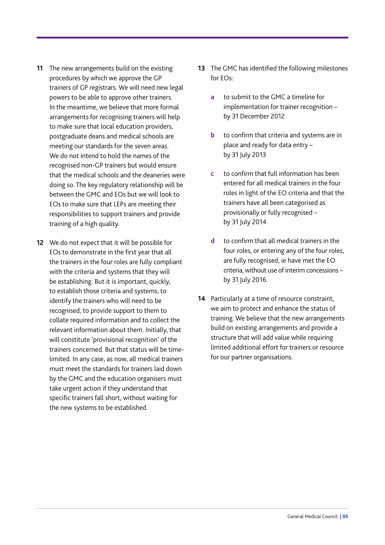- **11** The new arrangements build on the existing procedures by which we approve the GP trainers of GP registrars. We will need new legal powers to be able to approve other trainers. In the meantime, we believe that more formal arrangements for recognising trainers will help to make sure that local education providers, postgraduate deans and medical schools are meeting our standards for the seven areas. We do not intend to hold the names of the recognised non-GP trainers but would ensure that the medical schools and the deaneries were doing so. The key regulatory relationship will be between the GMC and EOs but we will look to EOs to make sure that LEPs are meeting their responsibilities to support trainers and provide training of a high quality.
- **12** We do not expect that it will be possible for EOs to demonstrate in the first year that all the trainers in the four roles are fully compliant with the criteria and systems that they will be establishing. But it is important, quickly, to establish those criteria and systems, to identify the trainers who will need to be recognised, to provide support to them to collate required information and to collect the relevant information about them. Initially, that will constitute 'provisional recognition' of the trainers concerned. But that status will be timelimited. In any case, as now, all medical trainers must meet the standards for trainers laid down by the GMC and the education organisers must take urgent action if they understand that specific trainers fall short, without waiting for the new systems to be established.
- **13** The GMC has identified the following milestones for EOs:
	- **a** to submit to the GMC a timeline for implementation for trainer recognition – by 31 December 2012
	- **b** to confirm that criteria and systems are in place and ready for data entry – by 31 July 2013
	- **c** to confirm that full information has been entered for all medical trainers in the four roles in light of the EO criteria and that the trainers have all been categorised as provisionally or fully recognised – by 31 July 2014
	- **d** to confirm that all medical trainers in the four roles, or entering any of the four roles, are fully recognised, ie have met the EO criteria, without use of interim concessions – by 31 July 2016.
- **14** Particularly at a time of resource constraint, we aim to protect and enhance the status of training. We believe that the new arrangements build on existing arrangements and provide a structure that will add value while requiring limited additional effort for trainers or resource for our partner organisations.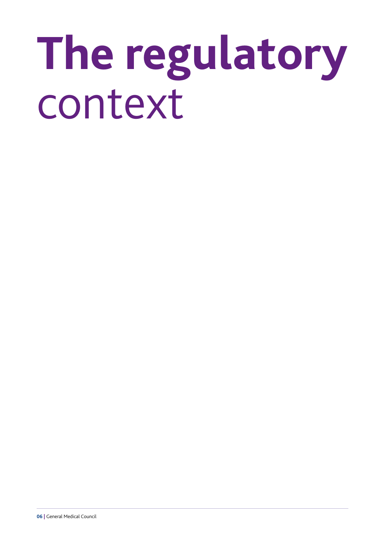## <span id="page-7-0"></span>**The regulatory**  context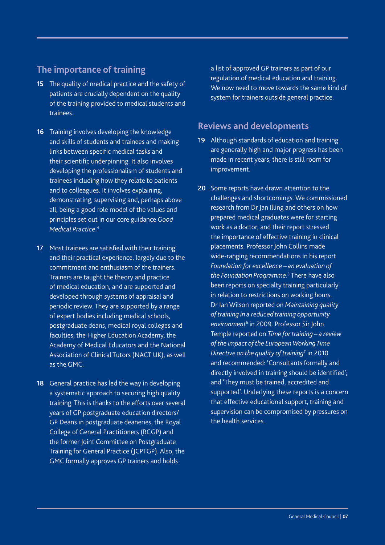### <span id="page-8-0"></span>**The importance of training**

- **15** The quality of medical practice and the safety of patients are crucially dependent on the quality of the training provided to medical students and trainees.
- **16** Training involves developing the knowledge and skills of students and trainees and making links between specific medical tasks and their scientific underpinning. It also involves developing the professionalism of students and trainees including how they relate to patients and to colleagues. It involves explaining, demonstrating, supervising and, perhaps above all, being a good role model of the values and principles set out in our core guidance *[Good](http://www.gmc-uk.org/guidance/good_medical_practice.asp)  [Medical Practice](http://www.gmc-uk.org/guidance/good_medical_practice.asp)*. 4
- **17** Most trainees are satisfied with their training and their practical experience, largely due to the commitment and enthusiasm of the trainers. Trainers are taught the theory and practice of medical education, and are supported and developed through systems of appraisal and periodic review. They are supported by a range of expert bodies including medical schools, postgraduate deans, medical royal colleges and faculties, the Higher Education Academy, the Academy of Medical Educators and the National Association of Clinical Tutors (NACT UK), as well as the GMC.
- **18** General practice has led the way in developing a systematic approach to securing high quality training. This is thanks to the efforts over several years of GP postgraduate education directors/ GP Deans in postgraduate deaneries, the Royal College of General Practitioners (RCGP) and the former Joint Committee on Postgraduate Training for General Practice (JCPTGP). Also, the GMC formally approves GP trainers and holds

a list of approved GP trainers as part of our regulation of medical education and training. We now need to move towards the same kind of system for trainers outside general practice.

### **Reviews and developments**

- **19** Although standards of education and training are generally high and major progress has been made in recent years, there is still room for improvement.
- **20** Some reports have drawn attention to the challenges and shortcomings. We commissioned research from Dr Jan Illing and others on how prepared medical graduates were for starting work as a doctor, and their report stressed the importance of effective training in clinical placements. Professor John Collins made wide-ranging recommendations in his report *[Foundation for excellence – an evaluation of](http://www.mee.nhs.uk/pdf/401339_MEE_FoundationExcellence_acc.pdf)  [the Foundation Programme](http://www.mee.nhs.uk/pdf/401339_MEE_FoundationExcellence_acc.pdf)*. 5 There have also been reports on specialty training particularly in relation to restrictions on working hours. Dr Ian Wilson reported on *[Maintaining quality](http://www.mee.nhs.uk/PDF/Quality%20of%20Training%20FINAL.pdf)  [of training in a reduced training opportunity](http://www.mee.nhs.uk/PDF/Quality%20of%20Training%20FINAL.pdf)  [environment](http://www.mee.nhs.uk/PDF/Quality%20of%20Training%20FINAL.pdf)*<sup>6</sup> in 2009. Professor Sir John Temple reported on *[Time for training – a review](http://www.mee.nhs.uk/PDF/14274%20Bookmark%20Web%20Version.pdf)  [of the impact of the European Working Time](http://www.mee.nhs.uk/PDF/14274%20Bookmark%20Web%20Version.pdf)  [Directive on the quality of training](http://www.mee.nhs.uk/PDF/14274%20Bookmark%20Web%20Version.pdf)*<sup>7</sup> in 2010 and recommended: 'Consultants formally and directly involved in training should be identified'; and 'They must be trained, accredited and supported'. Underlying these reports is a concern that effective educational support, training and supervision can be compromised by pressures on the health services.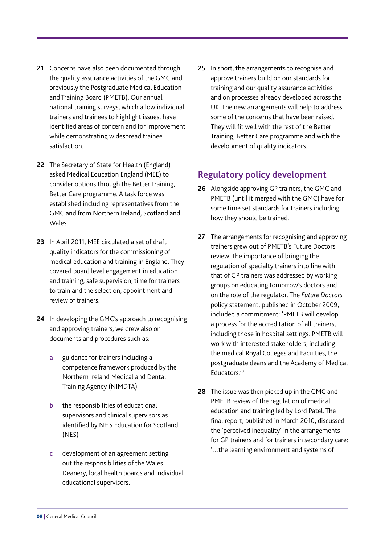- <span id="page-9-0"></span>**21** Concerns have also been documented through the quality assurance activities of the GMC and previously the Postgraduate Medical Education and Training Board (PMETB). Our annual national training surveys, which allow individual trainers and trainees to highlight issues, have identified areas of concern and for improvement while demonstrating widespread trainee satisfaction.
- **22** The Secretary of State for Health (England) asked Medical Education England (MEE) to consider options through the Better Training, Better Care programme. A task force was established including representatives from the GMC and from Northern Ireland, Scotland and Wales.
- **23** In April 2011, MEE circulated a set of draft quality indicators for the commissioning of medical education and training in England. They covered board level engagement in education and training, safe supervision, time for trainers to train and the selection, appointment and review of trainers.
- **24** In developing the GMC's approach to recognising and approving trainers, we drew also on documents and procedures such as:
	- **a** guidance for trainers including a competence framework produced by the Northern Ireland Medical and Dental Training Agency (NIMDTA)
	- **b** the responsibilities of educational supervisors and clinical supervisors as identified by NHS Education for Scotland (NES)
	- **c** development of an agreement setting out the responsibilities of the Wales Deanery, local health boards and individual educational supervisors.

**25** In short, the arrangements to recognise and approve trainers build on our standards for training and our quality assurance activities and on processes already developed across the UK. The new arrangements will help to address some of the concerns that have been raised. They will fit well with the rest of the Better Training, Better Care programme and with the development of quality indicators.

### **Regulatory policy development**

- **26** Alongside approving GP trainers, the GMC and PMETB (until it merged with the GMC) have for some time set standards for trainers including how they should be trained.
- **27** The arrangements for recognising and approving trainers grew out of PMETB's Future Doctors review. The importance of bringing the regulation of specialty trainers into line with that of GP trainers was addressed by working groups on educating tomorrow's doctors and on the role of the regulator. The *[Future Doctors](http://www.gmc-uk.org/Future_Doctors_Policy_Statement_20090923.pdf_30375088.pdf)* policy statement, published in October 2009, included a commitment: 'PMETB will develop a process for the accreditation of all trainers, including those in hospital settings. PMETB will work with interested stakeholders, including the medical Royal Colleges and Faculties, the postgraduate deans and the Academy of Medical Educators.'8
- **28** The issue was then picked up in the GMC and PMETB review of the regulation of medical education and training led by Lord Patel. The final report, published in March 2010, discussed the 'perceived inequality' in the arrangements for GP trainers and for trainers in secondary care: '…the learning environment and systems of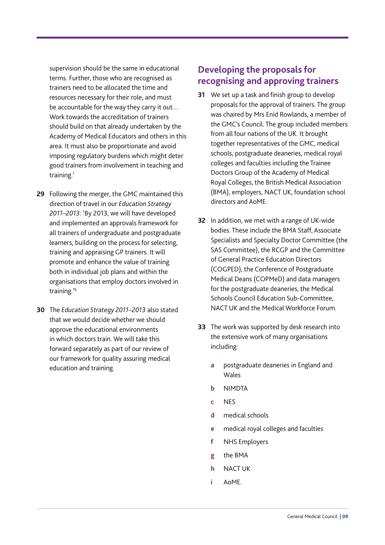<span id="page-10-0"></span>supervision should be the same in educational terms. Further, those who are recognised as trainers need to be allocated the time and resources necessary for their role, and must be accountable for the way they carry it out… Work towards the accreditation of trainers should build on that already undertaken by the Academy of Medical Educators and others in this area. It must also be proportionate and avoid imposing regulatory burdens which might deter good trainers from involvement in teaching and training.'

- **29** Following the merger, the GMC maintained this direction of travel in our *[Education Strategy](http://www.gmc-uk.org/education/key_resources.asp)  [2011–2013](http://www.gmc-uk.org/education/key_resources.asp)*: 'By 2013, we will have developed and implemented an approvals framework for all trainers of undergraduate and postgraduate learners, building on the process for selecting, training and appraising GP trainers. It will promote and enhance the value of training both in individual job plans and within the organisations that employ doctors involved in training.'9
- **30** The *Education Strategy 2011–2013* also stated that we would decide whether we should approve the educational environments in which doctors train. We will take this forward separately as part of our review of our framework for quality assuring medical education and training.

### **Developing the proposals for recognising and approving trainers**

- **31** We set up a task and finish group to develop proposals for the approval of trainers. The group was chaired by Mrs Enid Rowlands, a member of the GMC's Council. The group included members from all four nations of the UK. It brought together representatives of the GMC, medical schools, postgraduate deaneries, medical royal colleges and faculties including the Trainee Doctors Group of the Academy of Medical Royal Colleges, the British Medical Association (BMA), employers, NACT UK, foundation school directors and AoME.
- **32** In addition, we met with a range of UK-wide bodies. These include the BMA Staff, Associate Specialists and Specialty Doctor Committee (the SAS Committee), the RCGP and the Committee of General Practice Education Directors (COGPED), the Conference of Postgraduate Medical Deans (COPMeD) and data managers for the postgraduate deaneries, the Medical Schools Council Education Sub-Committee, NACT UK and the Medical Workforce Forum.
- **33** The work was supported by desk research into the extensive work of many organisations including:
	- **a** postgraduate deaneries in England and Wales
	- **b** NIMDTA
	- **c** NES
	- **d** medical schools
	- **e** medical royal colleges and faculties
	- **f** NHS Employers
	- **g** the BMA
	- **h** NACT UK
	- **i** AoME.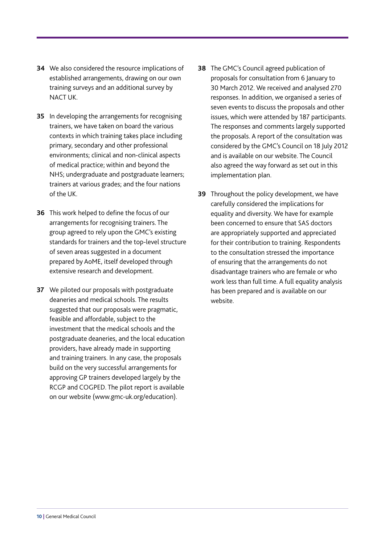- **34** We also considered the resource implications of established arrangements, drawing on our own training surveys and an additional survey by NACT UK.
- **35** In developing the arrangements for recognising trainers, we have taken on board the various contexts in which training takes place including primary, secondary and other professional environments; clinical and non-clinical aspects of medical practice; within and beyond the NHS; undergraduate and postgraduate learners; trainers at various grades; and the four nations of the UK.
- **36** This work helped to define the focus of our arrangements for recognising trainers. The group agreed to rely upon the GMC's existing standards for trainers and the top-level structure of seven areas suggested in a document prepared by AoME, itself developed through extensive research and development.
- **37** We piloted our proposals with postgraduate deaneries and medical schools. The results suggested that our proposals were pragmatic, feasible and affordable, subject to the investment that the medical schools and the postgraduate deaneries, and the local education providers, have already made in supporting and training trainers. In any case, the proposals build on the very successful arrangements for approving GP trainers developed largely by the RCGP and COGPED. The pilot report is available on our website [\(www.gmc-uk.org/education](http://www.gmc-uk.org/education/10264.asp)).
- **38** The GMC's Council agreed publication of proposals for consultation from 6 January to 30 March 2012. We received and analysed 270 responses. In addition, we organised a series of seven events to discuss the proposals and other issues, which were attended by 187 participants. The responses and comments largely supported the proposals. A report of the consultation was considered by the GMC's Council on 18 July 2012 and is available on our website[. The Council](http://www.gmc-uk.org/7a_Report_on_Outcome_of_Consultation_on_Approval_of_Trainers_bg.pdf_49342403.pdf)  [also agreed the way forward as set out in this](http://www.gmc-uk.org/7a_Report_on_Outcome_of_Consultation_on_Approval_of_Trainers_bg.pdf_49342403.pdf)  implementation plan.
- **39** Throughout the policy development, we have carefully considered the implications for equality and diversity. We have for example been concerned to ensure that SAS doctors are appropriately supported and appreciated for their contribution to training. Respondents to the consultation stressed the importance of ensuring that the arrangements do not disadvantage trainers who are female or who work less than full time. A full equality analysis has been prepared and is available on [our](http://www.gmc-uk.org/education/10264.asp)  [website.](http://www.gmc-uk.org/education/10264.asp)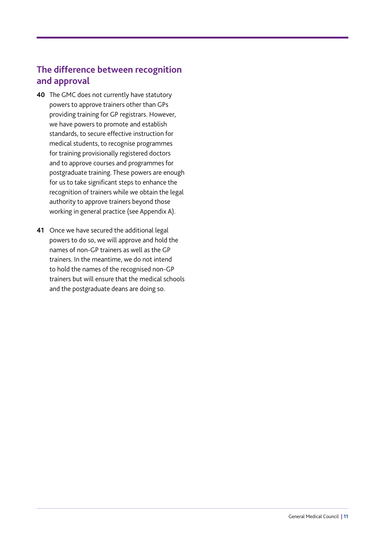### <span id="page-12-0"></span>**The difference between recognition and approval**

- **40** The GMC does not currently have statutory powers to approve trainers other than GPs providing training for GP registrars. However, we have powers to promote and establish standards, to secure effective instruction for medical students, to recognise programmes for training provisionally registered doctors and to approve courses and programmes for postgraduate training. These powers are enough for us to take significant steps to enhance the recognition of trainers while we obtain the legal authority to approve trainers beyond those working in general practice (see [Appendix A\)](#page-42-0).
- **41** Once we have secured the additional legal powers to do so, we will approve and hold the names of non-GP trainers as well as the GP trainers. In the meantime, we do not intend to hold the names of the recognised non-GP trainers but will ensure that the medical schools and the postgraduate deans are doing so.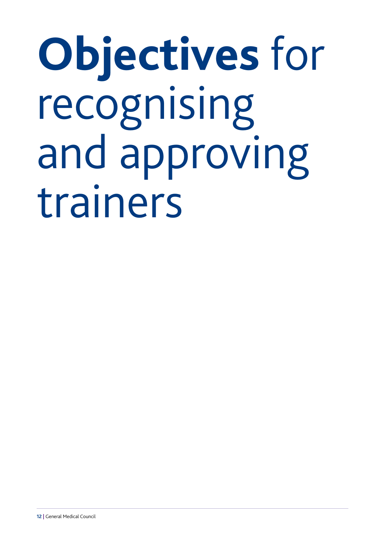<span id="page-13-0"></span>**Objectives** for recognising and approving trainers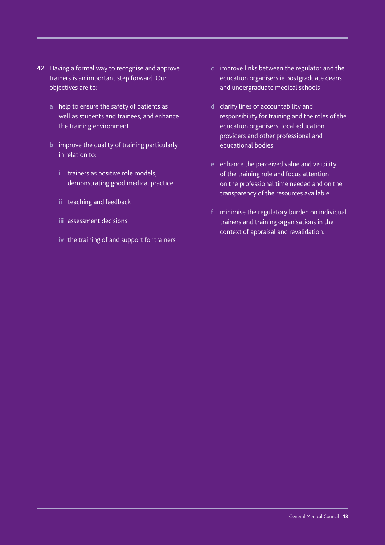- **42** Having a formal way to recognise and approve trainers is an important step forward. Our objectives are to:
	- **a** help to ensure the safety of patients as well as students and trainees, and enhance the training environment
	- **b** improve the quality of training particularly in relation to:
		- **i** trainers as positive role models, demonstrating good medical practice
		- **ii** teaching and feedback
		- **iii** assessment decisions
		- **iv** the training of and support for trainers
- **c** improve links between the regulator and the education organisers ie postgraduate deans and undergraduate medical schools
- **d** clarify lines of accountability and responsibility for training and the roles of the education organisers, local education providers and other professional and educational bodies
- **e** enhance the perceived value and visibility of the training role and focus attention on the professional time needed and on the transparency of the resources available
- **f** minimise the regulatory burden on individual trainers and training organisations in the context of appraisal and revalidation.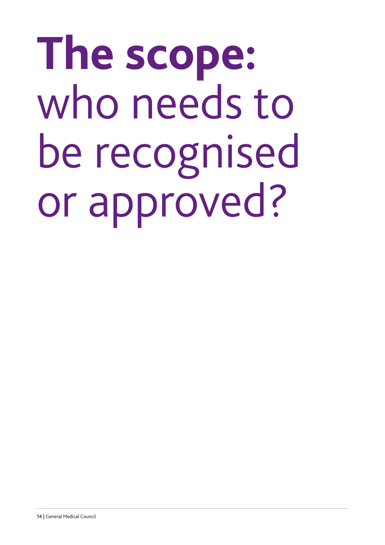# <span id="page-15-0"></span>**The scope:**  who needs to be recognised or approved?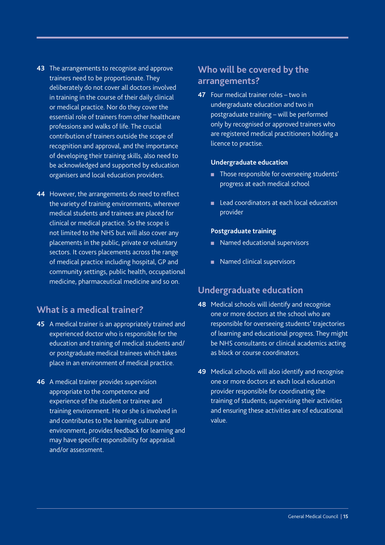- <span id="page-16-0"></span>**43** The arrangements to recognise and approve trainers need to be proportionate. They deliberately do not cover all doctors involved in training in the course of their daily clinical or medical practice. Nor do they cover the essential role of trainers from other healthcare professions and walks of life. The crucial contribution of trainers outside the scope of recognition and approval, and the importance of developing their training skills, also need to be acknowledged and supported by education organisers and local education providers.
- **44** However, the arrangements do need to reflect the variety of training environments, wherever medical students and trainees are placed for clinical or medical practice. So the scope is not limited to the NHS but will also cover any placements in the public, private or voluntary sectors. It covers placements across the range of medical practice including hospital, GP and community settings, public health, occupational medicine, pharmaceutical medicine and so on.

#### **What is a medical trainer?**

- **45** A medical trainer is an appropriately trained and experienced doctor who is responsible for the education and training of medical students and/ or postgraduate medical trainees which takes place in an environment of medical practice.
- **46** A medical trainer provides supervision appropriate to the competence and experience of the student or trainee and training environment. He or she is involved in and contributes to the learning culture and environment, provides feedback for learning and may have specific responsibility for appraisal and/or assessment.

#### **Who will be covered by the arrangements?**

**47** Four medical trainer roles – two in undergraduate education and two in postgraduate training – will be performed only by recognised or approved trainers who are registered medical practitioners holding a licence to practise.

#### **Undergraduate education**

- **n** Those responsible for overseeing students' progress at each medical school
- **n** Lead coordinators at each local education provider

#### **Postgraduate training**

- Named educational supervisors
- Named clinical supervisors

#### **Undergraduate education**

- **48** Medical schools will identify and recognise one or more doctors at the school who are responsible for overseeing students' trajectories of learning and educational progress. They might be NHS consultants or clinical academics acting as block or course coordinators.
- **49** Medical schools will also identify and recognise one or more doctors at each local education provider responsible for coordinating the training of students, supervising their activities and ensuring these activities are of educational value.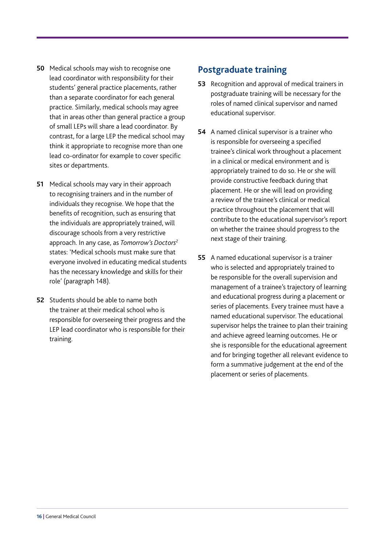- <span id="page-17-0"></span>**50** Medical schools may wish to recognise one lead coordinator with responsibility for their students' general practice placements, rather than a separate coordinator for each general practice. Similarly, medical schools may agree that in areas other than general practice a group of small LEPs will share a lead coordinator. By contrast, for a large LEP the medical school may think it appropriate to recognise more than one lead co-ordinator for example to cover specific sites or departments.
- **51** Medical schools may vary in their approach to recognising trainers and in the number of individuals they recognise. We hope that the benefits of recognition, such as ensuring that the individuals are appropriately trained, will discourage schools from a very restrictive approach. In any case, as *[Tomorrow's Doctors](http://www.gmc-uk.org/education/undergraduate/tomorrows_doctors.asp)*<sup>2</sup> states: 'Medical schools must make sure that everyone involved in educating medical students has the necessary knowledge and skills for their role' (paragraph 148).
- **52** Students should be able to name both the trainer at their medical school who is responsible for overseeing their progress and the LEP lead coordinator who is responsible for their training.

#### **Postgraduate training**

- **53** Recognition and approval of medical trainers in postgraduate training will be necessary for the roles of named clinical supervisor and named educational supervisor.
- **54** A named clinical supervisor is a trainer who is responsible for overseeing a specified trainee's clinical work throughout a placement in a clinical or medical environment and is appropriately trained to do so. He or she will provide constructive feedback during that placement. He or she will lead on providing a review of the trainee's clinical or medical practice throughout the placement that will contribute to the educational supervisor's report on whether the trainee should progress to the next stage of their training.
- **55** A named educational supervisor is a trainer who is selected and appropriately trained to be responsible for the overall supervision and management of a trainee's trajectory of learning and educational progress during a placement or series of placements. Every trainee must have a named educational supervisor. The educational supervisor helps the trainee to plan their training and achieve agreed learning outcomes. He or she is responsible for the educational agreement and for bringing together all relevant evidence to form a summative judgement at the end of the placement or series of placements.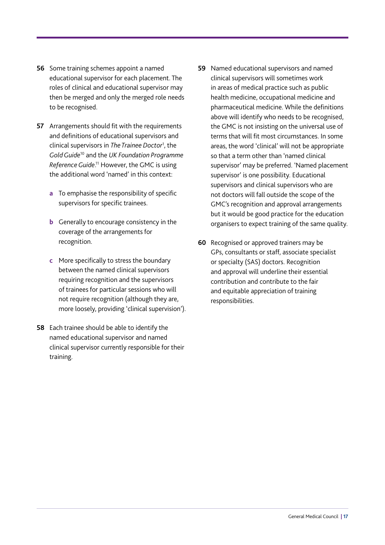- **56** Some training schemes appoint a named educational supervisor for each placement. The roles of clinical and educational supervisor may then be merged and only the merged role needs to be recognised.
- **57** Arrangements should fit with the requirements and definitions of educational supervisors and clinical supervisors in *[The Trainee Doctor](http://www.gmc-uk.org/education/postgraduate/standards_and_guidance.asp)*<sup>1</sup> , the *[Gold Guide](http://www.mmc.nhs.uk/pdf/Gold%20Guide%202010%20Fourth%20Edition%20v08.pdf)*10 and the *[UK Foundation Programme](http://www.foundationprogramme.nhs.uk/index.asp?page=home/keydocs)  [Reference Guide](http://www.foundationprogramme.nhs.uk/index.asp?page=home/keydocs)*. 11 However, the GMC is using the additional word 'named' in this context:
	- **a** To emphasise the responsibility of specific supervisors for specific trainees.
	- **b** Generally to encourage consistency in the coverage of the arrangements for recognition.
	- **c** More specifically to stress the boundary between the named clinical supervisors requiring recognition and the supervisors of trainees for particular sessions who will not require recognition (although they are, more loosely, providing 'clinical supervision').
- **58** Each trainee should be able to identify the named educational supervisor and named clinical supervisor currently responsible for their training.
- **59** Named educational supervisors and named clinical supervisors will sometimes work in areas of medical practice such as public health medicine, occupational medicine and pharmaceutical medicine. While the definitions above will identify who needs to be recognised, the GMC is not insisting on the universal use of terms that will fit most circumstances. In some areas, the word 'clinical' will not be appropriate so that a term other than 'named clinical supervisor' may be preferred. 'Named placement supervisor' is one possibility. Educational supervisors and clinical supervisors who are not doctors will fall outside the scope of the GMC's recognition and approval arrangements but it would be good practice for the education organisers to expect training of the same quality.
- **60** Recognised or approved trainers may be GPs, consultants or staff, associate specialist or specialty (SAS) doctors. Recognition and approval will underline their essential contribution and contribute to the fair and equitable appreciation of training responsibilities.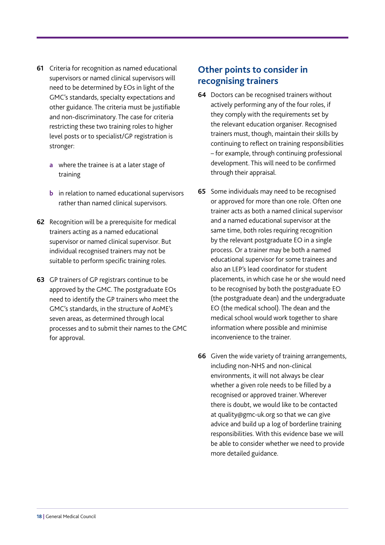- <span id="page-19-0"></span>**61** Criteria for recognition as named educational supervisors or named clinical supervisors will need to be determined by EOs in light of the GMC's standards, specialty expectations and other guidance. The criteria must be justifiable and non-discriminatory. The case for criteria restricting these two training roles to higher level posts or to specialist/GP registration is stronger:
	- **a** where the trainee is at a later stage of training
	- **b** in relation to named educational supervisors rather than named clinical supervisors.
- **62** Recognition will be a prerequisite for medical trainers acting as a named educational supervisor or named clinical supervisor. But individual recognised trainers may not be suitable to perform specific training roles.
- **63** GP trainers of GP registrars continue to be approved by the GMC. The postgraduate EOs need to identify the GP trainers who meet the GMC's standards, in the structure of AoME's seven areas, as determined through local processes and to submit their names to the GMC for approval.

#### **Other points to consider in recognising trainers**

- **64** Doctors can be recognised trainers without actively performing any of the four roles, if they comply with the requirements set by the relevant education organiser. Recognised trainers must, though, maintain their skills by continuing to reflect on training responsibilities – for example, through continuing professional development. This will need to be confirmed through their appraisal.
- **65** Some individuals may need to be recognised or approved for more than one role. Often one trainer acts as both a named clinical supervisor and a named educational supervisor at the same time, both roles requiring recognition by the relevant postgraduate EO in a single process. Or a trainer may be both a named educational supervisor for some trainees and also an LEP's lead coordinator for student placements, in which case he or she would need to be recognised by both the postgraduate EO (the postgraduate dean) and the undergraduate EO (the medical school). The dean and the medical school would work together to share information where possible and minimise inconvenience to the trainer.
- **66** Given the wide variety of training arrangements, including non-NHS and non-clinical environments, it will not always be clear whether a given role needs to be filled by a recognised or approved trainer. Wherever there is doubt, we would like to be contacted at [quality@gmc-uk.org](mailto:quality@gmc-uk.org) so that we can give advice and build up a log of borderline training responsibilities. With this evidence base we will be able to consider whether we need to provide more detailed guidance.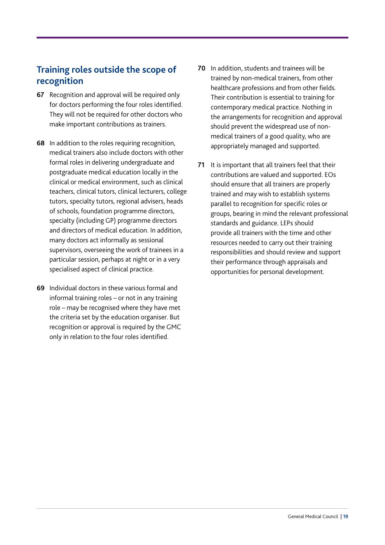### <span id="page-20-0"></span>**Training roles outside the scope of recognition**

- **67** Recognition and approval will be required only for doctors performing the four roles identified. They will not be required for other doctors who make important contributions as trainers.
- **68** In addition to the roles requiring recognition, medical trainers also include doctors with other formal roles in delivering undergraduate and postgraduate medical education locally in the clinical or medical environment, such as clinical teachers, clinical tutors, clinical lecturers, college tutors, specialty tutors, regional advisers, heads of schools, foundation programme directors, specialty (including GP) programme directors and directors of medical education. In addition, many doctors act informally as sessional supervisors, overseeing the work of trainees in a particular session, perhaps at night or in a very specialised aspect of clinical practice.
- **69** Individual doctors in these various formal and informal training roles – or not in any training role – may be recognised where they have met the criteria set by the education organiser. But recognition or approval is required by the GMC only in relation to the four roles identified.
- **70** In addition, students and trainees will be trained by non-medical trainers, from other healthcare professions and from other fields. Their contribution is essential to training for contemporary medical practice. Nothing in the arrangements for recognition and approval should prevent the widespread use of nonmedical trainers of a good quality, who are appropriately managed and supported.
- **71** It is important that all trainers feel that their contributions are valued and supported. EOs should ensure that all trainers are properly trained and may wish to establish systems parallel to recognition for specific roles or groups, bearing in mind the relevant professional standards and guidance. LEPs should provide all trainers with the time and other resources needed to carry out their training responsibilities and should review and support their performance through appraisals and opportunities for personal development.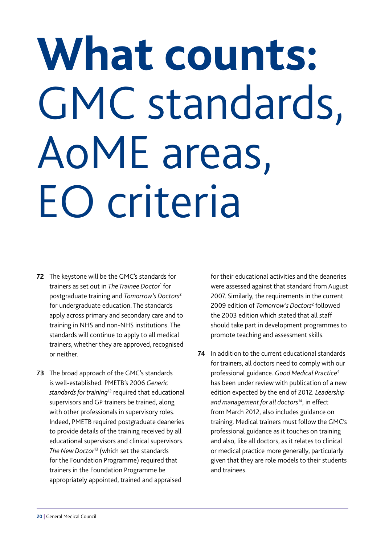## <span id="page-21-0"></span>**What counts:**  GMC standards, AoME areas, EO criteria

- **72** The keystone will be the GMC's standards for trainers as set out in *[The Trainee Doctor](http://www.gmc-uk.org/education/postgraduate/standards_and_guidance.asp)*<sup>1</sup> for postgraduate training and *[Tomorrow's Doctors](http://www.gmc-uk.org/education/undergraduate/tomorrows_doctors.asp)*<sup>2</sup> for undergraduate education. The standards apply across primary and secondary care and to training in NHS and non-NHS institutions. The standards will continue to apply to all medical trainers, whether they are approved, recognised or neither.
- **73** The broad approach of the GMC's standards is well-established. PMETB's 2006 *Generic standards for training*12 required that educational supervisors and GP trainers be trained, along with other professionals in supervisory roles. Indeed, PMETB required postgraduate deaneries to provide details of the training received by all educational supervisors and clinical supervisors. *The New Doctor*13 (which set the standards for the Foundation Programme) required that trainers in the Foundation Programme be appropriately appointed, trained and appraised

for their educational activities and the deaneries were assessed against that standard from August 2007. Similarly, the requirements in the current 2009 edition of *Tomorrow's Doctors*<sup>2</sup> followed the 2003 edition which stated that all staff should take part in development programmes to promote teaching and assessment skills.

**74** In addition to the current educational standards for trainers, all doctors need to comply with our professional guidance. *[Good Medical Practice](http://www.gmc-uk.org/guidance/good_medical_practice.asp)*<sup>4</sup> has been under review with publication of a new edition expected by the end of 2012. *[Leadership](http://www.gmc-uk.org/guidance/ethical_guidance/management_for_doctors.asp)  [and management for all doctors](http://www.gmc-uk.org/guidance/ethical_guidance/management_for_doctors.asp)*14, in effect from March 2012, also includes guidance on training. Medical trainers must follow the GMC's professional guidance as it touches on training and also, like all doctors, as it relates to clinical or medical practice more generally, particularly given that they are role models to their students and trainees.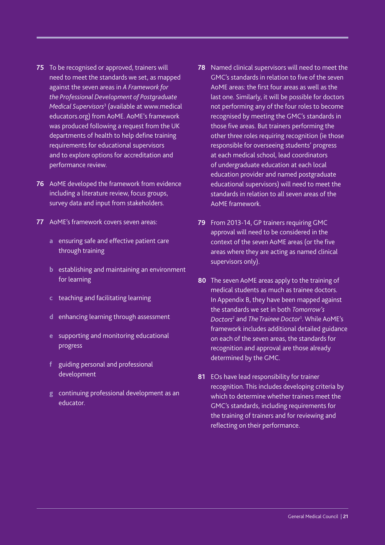- **75** To be recognised or approved, trainers will need to meet the standards we set, as mapped against the seven areas in *[A Framework for](http://www.medicaleducators.org/index.cfm/linkservid/C575BBE4-F39B-4267-31A42C8B64F0D3DE/showMeta/0/)  [the Professional Development of Postgraduate](http://www.medicaleducators.org/index.cfm/linkservid/C575BBE4-F39B-4267-31A42C8B64F0D3DE/showMeta/0/)  [Medical Supervisors](http://www.medicaleducators.org/index.cfm/linkservid/C575BBE4-F39B-4267-31A42C8B64F0D3DE/showMeta/0/)*<sup>3</sup> (available at www.medical educators.org) from AoME. AoME's framework was produced following a request from the UK departments of health to help define training requirements for educational supervisors and to explore options for accreditation and performance review.
- **76** AoME developed the framework from evidence including a literature review, focus groups, survey data and input from stakeholders.
- **77** AoME's framework covers seven areas:
	- **a** ensuring safe and effective patient care through training
	- **b** establishing and maintaining an environment for learning
	- **c** teaching and facilitating learning
	- **d** enhancing learning through assessment
	- **e** supporting and monitoring educational progress
	- **f** guiding personal and professional development
	- **g** continuing professional development as an educator.
- **78** Named clinical supervisors will need to meet the GMC's standards in relation to five of the seven AoME areas: the first four areas as well as the last one. Similarly, it will be possible for doctors not performing any of the four roles to become recognised by meeting the GMC's standards in those five areas. But trainers performing the other three roles requiring recognition (ie those responsible for overseeing students' progress at each medical school, lead coordinators of undergraduate education at each local education provider and named postgraduate educational supervisors) will need to meet the standards in relation to all seven areas of the AoME framework.
- **79** From 2013-14, GP trainers requiring GMC approval will need to be considered in the context of the seven AoME areas (or the five areas where they are acting as named clinical supervisors only).
- **80** The seven AoME areas apply to the training of medical students as much as trainee doctors. In [Appendix B,](#page-43-0) they have been mapped against the standards we set in both *[Tomorrow's](http://www.gmc-uk.org/education/undergraduate/tomorrows_doctors.asp)  [Doctors](http://www.gmc-uk.org/education/undergraduate/tomorrows_doctors.asp)*<sup>2</sup> and *[The Trainee Doctor](http://www.gmc-uk.org/education/postgraduate/standards_and_guidance.asp)*<sup>1</sup> . While AoME's framework includes additional detailed guidance on each of the seven areas, the standards for recognition and approval are those already determined by the GMC.
- **81** EOs have lead responsibility for trainer recognition. This includes developing criteria by which to determine whether trainers meet the GMC's standards, including requirements for the training of trainers and for reviewing and reflecting on their performance.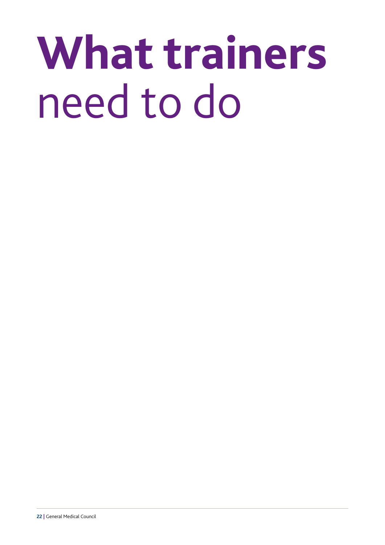# <span id="page-23-0"></span>**What trainers**  need to do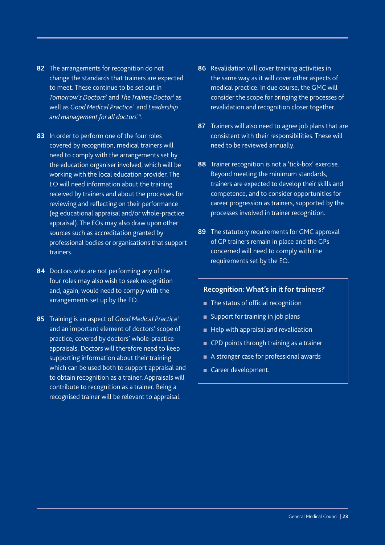- **82** The arrangements for recognition do not change the standards that trainers are expected to meet. These continue to be set out in *[Tomorrow's Doctors](http://www.gmc-uk.org/education/undergraduate/tomorrows_doctors.asp)*<sup>2</sup> and *[The Trainee Doctor](http://www.gmc-uk.org/education/postgraduate/standards_and_guidance.asp)*<sup>1</sup> as well as *[Good Medical Practice](http://www.gmc-uk.org/guidance/good_medical_practice.asp)*<sup>4</sup> and *[Leadership](http://www.gmc-uk.org/guidance/ethical_guidance/management_for_doctors.asp)  [and management for all doctors](http://www.gmc-uk.org/guidance/ethical_guidance/management_for_doctors.asp)*14.
- **83** In order to perform one of the four roles covered by recognition, medical trainers will need to comply with the arrangements set by the education organiser involved, which will be working with the local education provider. The EO will need information about the training received by trainers and about the processes for reviewing and reflecting on their performance (eg educational appraisal and/or whole-practice appraisal). The EOs may also draw upon other sources such as accreditation granted by professional bodies or organisations that support trainers.
- **84** Doctors who are not performing any of the four roles may also wish to seek recognition and, again, would need to comply with the arrangements set up by the EO.
- **85** Training is an aspect of *[Good Medical Practice](http://www.gmc-uk.org/guidance/good_medical_practice.asp)*<sup>4</sup> and an important element of doctors' scope of practice, covered by doctors' whole-practice appraisals. Doctors will therefore need to keep supporting information about their training which can be used both to support appraisal and to obtain recognition as a trainer. Appraisals will contribute to recognition as a trainer. Being a recognised trainer will be relevant to appraisal.
- **86** Revalidation will cover training activities in the same way as it will cover other aspects of medical practice. In due course, the GMC will consider the scope for bringing the processes of revalidation and recognition closer together.
- **87** Trainers will also need to agree job plans that are consistent with their responsibilities. These will need to be reviewed annually.
- **88** Trainer recognition is not a 'tick-box' exercise. Beyond meeting the minimum standards, trainers are expected to develop their skills and competence, and to consider opportunities for career progression as trainers, supported by the processes involved in trainer recognition.
- **89** The statutory requirements for GMC approval of GP trainers remain in place and the GPs concerned will need to comply with the requirements set by the EO.

#### **Recognition: What's in it for trainers?**

- $\blacksquare$  The status of official recognition
- $\blacksquare$  Support for training in job plans
- Help with appraisal and revalidation
- **n** CPD points through training as a trainer
- A stronger case for professional awards
- Career development.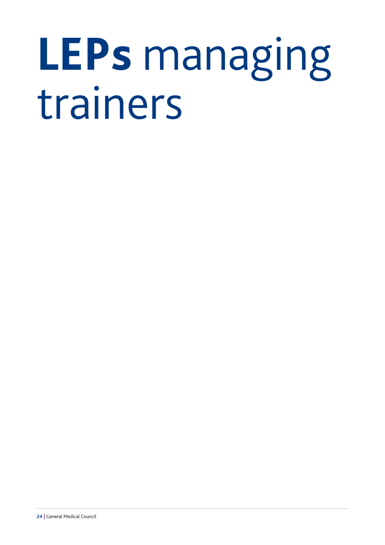## <span id="page-25-0"></span>**LEPs** managing trainers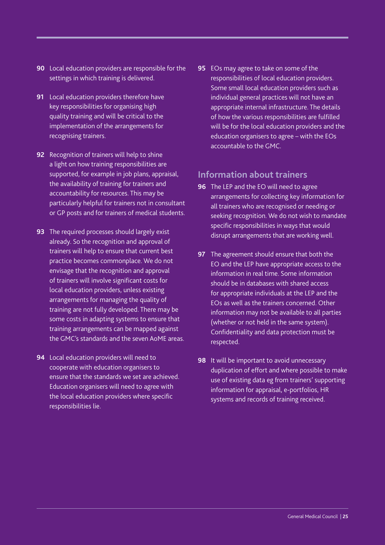- <span id="page-26-0"></span>**90** Local education providers are responsible for the settings in which training is delivered.
- **91** Local education providers therefore have key responsibilities for organising high quality training and will be critical to the implementation of the arrangements for recognising trainers.
- **92** Recognition of trainers will help to shine a light on how training responsibilities are supported, for example in job plans, appraisal, the availability of training for trainers and accountability for resources. This may be particularly helpful for trainers not in consultant or GP posts and for trainers of medical students.
- **93** The required processes should largely exist already. So the recognition and approval of trainers will help to ensure that current best practice becomes commonplace. We do not envisage that the recognition and approval of trainers will involve significant costs for local education providers, unless existing arrangements for managing the quality of training are not fully developed. There may be some costs in adapting systems to ensure that training arrangements can be mapped against the GMC's standards and the seven AoME areas.
- **94** Local education providers will need to cooperate with education organisers to ensure that the standards we set are achieved. Education organisers will need to agree with the local education providers where specific responsibilities lie.

**95** EOs may agree to take on some of the responsibilities of local education providers. Some small local education providers such as individual general practices will not have an appropriate internal infrastructure. The details of how the various responsibilities are fulfilled will be for the local education providers and the education organisers to agree – with the EOs accountable to the GMC.

#### **Information about trainers**

- **96** The LEP and the EO will need to agree arrangements for collecting key information for all trainers who are recognised or needing or seeking recognition. We do not wish to mandate specific responsibilities in ways that would disrupt arrangements that are working well.
- **97** The agreement should ensure that both the EO and the LEP have appropriate access to the information in real time. Some information should be in databases with shared access for appropriate individuals at the LEP and the EOs as well as the trainers concerned. Other information may not be available to all parties (whether or not held in the same system). Confidentiality and data protection must be respected.
- **98** It will be important to avoid unnecessary duplication of effort and where possible to make use of existing data eg from trainers' supporting information for appraisal, e-portfolios, HR systems and records of training received.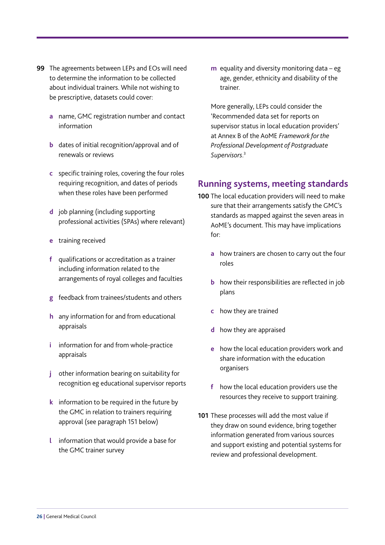- <span id="page-27-0"></span>**99** The agreements between LEPs and EOs will need to determine the information to be collected about individual trainers. While not wishing to be prescriptive, datasets could cover:
	- **a** name, GMC registration number and contact information
	- **b** dates of initial recognition/approval and of renewals or reviews
	- **c** specific training roles, covering the four roles requiring recognition, and dates of periods when these roles have been performed
	- **d** job planning (including supporting professional activities (SPAs) where relevant)
	- **e** training received
	- **f** qualifications or accreditation as a trainer including information related to the arrangements of royal colleges and faculties
	- **g** feedback from trainees/students and others
	- **h** any information for and from educational appraisals
	- **i** information for and from whole-practice appraisals
	- **j** other information bearing on suitability for recognition eg educational supervisor reports
	- **k** information to be required in the future by the GMC in relation to trainers requiring approval (see paragraph 151 below)
	- **l** information that would provide a base for the GMC trainer survey

**m** equality and diversity monitoring data – eg age, gender, ethnicity and disability of the trainer.

More generally, LEPs could consider the 'Recommended data set for reports on supervisor status in local education providers' at Annex B of the AoME *[Framework for the](http://www.medicaleducators.org/index.cfm/linkservid/C575BBE4-F39B-4267-31A42C8B64F0D3DE/showMeta/0/)  [Professional Development of Postgraduate](http://www.medicaleducators.org/index.cfm/linkservid/C575BBE4-F39B-4267-31A42C8B64F0D3DE/showMeta/0/)  [Supervisors](http://www.medicaleducators.org/index.cfm/linkservid/C575BBE4-F39B-4267-31A42C8B64F0D3DE/showMeta/0/)*. 3

#### **Running systems, meeting standards**

- **100** The local education providers will need to make sure that their arrangements satisfy the GMC's standards as mapped against the seven areas in AoME's document. This may have implications for:
	- **a** how trainers are chosen to carry out the four roles
	- **b** how their responsibilities are reflected in job plans
	- **c** how they are trained
	- **d** how they are appraised
	- **e** how the local education providers work and share information with the education organisers
	- **f** how the local education providers use the resources they receive to support training.
- **101** These processes will add the most value if they draw on sound evidence, bring together information generated from various sources and support existing and potential systems for review and professional development.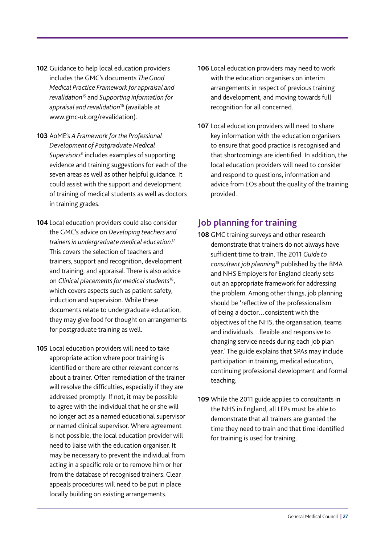- <span id="page-28-0"></span>**102** Guidance to help local education providers includes the GMC's documents *[The Good](http://www.gmc-uk.org/doctors/revalidation.asp)  [Medical Practice Framework for appraisal and](http://www.gmc-uk.org/doctors/revalidation.asp)  [revalidation](http://www.gmc-uk.org/doctors/revalidation.asp)*<sup>15</sup> and *[Supporting information for](http://www.gmc-uk.org/doctors/revalidation.asp)  [appraisal and revalidation](http://www.gmc-uk.org/doctors/revalidation.asp)*16 (available at www.gmc-uk.org/revalidation).
- **103** AoME's *[A Framework for the Professional](http://www.medicaleducators.org/index.cfm/linkservid/C575BBE4-F39B-4267-31A42C8B64F0D3DE/showMeta/0/)  [Development of Postgraduate Medical](http://www.medicaleducators.org/index.cfm/linkservid/C575BBE4-F39B-4267-31A42C8B64F0D3DE/showMeta/0/)  [Supervisors](http://www.medicaleducators.org/index.cfm/linkservid/C575BBE4-F39B-4267-31A42C8B64F0D3DE/showMeta/0/)*<sup>3</sup> includes examples of supporting evidence and training suggestions for each of the seven areas as well as other helpful guidance. It could assist with the support and development of training of medical students as well as doctors in training grades.
- **104** Local education providers could also consider the GMC's advice on *[Developing teachers and](http://www.gmc-uk.org/education/undergraduate/8837.asp)  [trainers in undergraduate medical education](http://www.gmc-uk.org/education/undergraduate/8837.asp)*. 17 This covers the selection of teachers and trainers, support and recognition, development and training, and appraisal. There is also advice on *[Clinical placements for medical students](http://www.gmc-uk.org/education/undergraduate/8837.asp)*18, which covers aspects such as patient safety, induction and supervision. While these documents relate to undergraduate education, they may give food for thought on arrangements for postgraduate training as well.
- **105** Local education providers will need to take appropriate action where poor training is identified or there are other relevant concerns about a trainer. Often remediation of the trainer will resolve the difficulties, especially if they are addressed promptly. If not, it may be possible to agree with the individual that he or she will no longer act as a named educational supervisor or named clinical supervisor. Where agreement is not possible, the local education provider will need to liaise with the education organiser. It may be necessary to prevent the individual from acting in a specific role or to remove him or her from the database of recognised trainers. Clear appeals procedures will need to be put in place locally building on existing arrangements.
- **106** Local education providers may need to work with the education organisers on interim arrangements in respect of previous training and development, and moving towards full recognition for all concerned.
- **107** Local education providers will need to share key information with the education organisers to ensure that good practice is recognised and that shortcomings are identified. In addition, the local education providers will need to consider and respond to questions, information and advice from EOs about the quality of the training provided.

### **Job planning for training**

- **108** GMC training surveys and other research demonstrate that trainers do not always have sufficient time to train. The 2011 *[Guide to](http://www.nhsemployers.org/Aboutus/Publications/Pages/AGuideToConsultantJobPlanning.aspx)  [consultant job planning](http://www.nhsemployers.org/Aboutus/Publications/Pages/AGuideToConsultantJobPlanning.aspx)*19 published by the BMA and NHS Employers for England clearly sets out an appropriate framework for addressing the problem. Among other things, job planning should be 'reflective of the professionalism of being a doctor…consistent with the objectives of the NHS, the organisation, teams and individuals…flexible and responsive to changing service needs during each job plan year.' The guide explains that SPAs may include participation in training, medical education, continuing professional development and formal teaching.
- **109** While the 2011 guide applies to consultants in the NHS in England, all LEPs must be able to demonstrate that all trainers are granted the time they need to train and that time identified for training is used for training.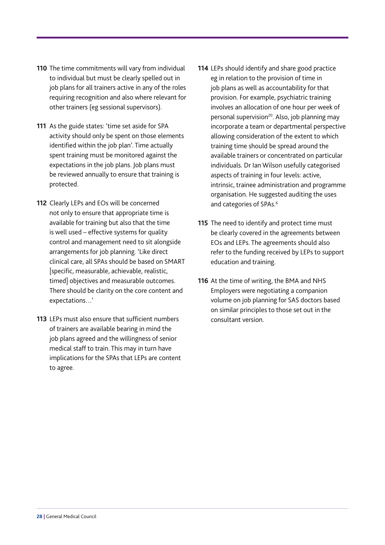- **110** The time commitments will vary from individual to individual but must be clearly spelled out in job plans for all trainers active in any of the roles requiring recognition and also where relevant for other trainers (eg sessional supervisors).
- **111** As the guide states: 'time set aside for SPA activity should only be spent on those elements identified within the job plan'. Time actually spent training must be monitored against the expectations in the job plans. Job plans must be reviewed annually to ensure that training is protected.
- **112** Clearly LEPs and EOs will be concerned not only to ensure that appropriate time is available for training but also that the time is well used – effective systems for quality control and management need to sit alongside arrangements for job planning. 'Like direct clinical care, all SPAs should be based on SMART [specific, measurable, achievable, realistic, timed] objectives and measurable outcomes. There should be clarity on the core content and expectations…'
- **113** LEPs must also ensure that sufficient numbers of trainers are available bearing in mind the job plans agreed and the willingness of senior medical staff to train. This may in turn have implications for the SPAs that LEPs are content to agree.
- **114** LEPs should identify and share good practice eg in relation to the provision of time in job plans as well as accountability for that provision. For example, psychiatric training involves an allocation of one hour per week of personal supervision<sup>20</sup>. Also, job planning may incorporate a team or departmental perspective allowing consideration of the extent to which training time should be spread around the available trainers or concentrated on particular individuals. Dr Ian Wilson usefully categorised aspects of training in four levels: active, intrinsic, trainee administration and programme organisation. He suggested auditing the uses and categories of SPAs.<sup>6</sup>
- **115** The need to identify and protect time must be clearly covered in the agreements between EOs and LEPs. The agreements should also refer to the funding received by LEPs to support education and training.
- **116** At the time of writing, the BMA and NHS Employers were negotiating a companion volume on job planning for SAS doctors based on similar principles to those set out in the consultant version.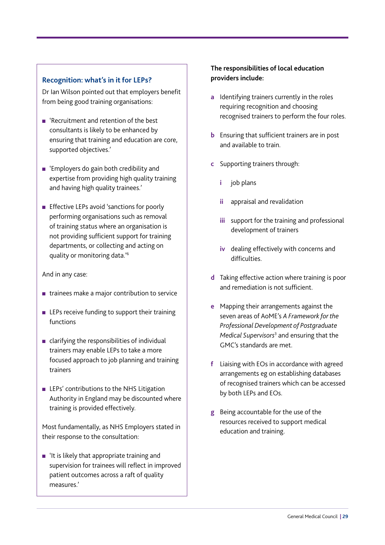#### **Recognition: what's in it for LEPs?**

Dr Ian Wilson pointed out that employers benefit from being good training organisations:

- <sup>n</sup> 'Recruitment and retention of the best consultants is likely to be enhanced by ensuring that training and education are core, supported objectives.'
- $n$  'Employers do gain both credibility and expertise from providing high quality training and having high quality trainees.'
- **Effective LEPs avoid 'sanctions for poorly** performing organisations such as removal of training status where an organisation is not providing sufficient support for training departments, or collecting and acting on quality or monitoring data.'6

And in any case:

- $\blacksquare$  trainees make a major contribution to service
- $\blacksquare$  LEPs receive funding to support their training functions
- $\blacksquare$  clarifying the responsibilities of individual trainers may enable LEPs to take a more focused approach to job planning and training trainers
- $\blacksquare$  LEPs' contributions to the NHS Litigation Authority in England may be discounted where training is provided effectively.

Most fundamentally, as NHS Employers stated in their response to the consultation:

 $\blacksquare$  'It is likely that appropriate training and supervision for trainees will reflect in improved patient outcomes across a raft of quality measures.'

#### **The responsibilities of local education providers include:**

- **a** Identifying trainers currently in the roles requiring recognition and choosing recognised trainers to perform the four roles.
- **b** Ensuring that sufficient trainers are in post and available to train.
- **c** Supporting trainers through:
	- **i** job plans
	- **ii** appraisal and revalidation
	- **iii** support for the training and professional development of trainers
	- **iv** dealing effectively with concerns and difficulties.
- **d** Taking effective action where training is poor and remediation is not sufficient.
- **e** Mapping their arrangements against the seven areas of AoME's *[A Framework for the](http://www.medicaleducators.org/index.cfm/linkservid/C575BBE4-F39B-4267-31A42C8B64F0D3DE/showMeta/0/)  [Professional Development of Postgraduate](http://www.medicaleducators.org/index.cfm/linkservid/C575BBE4-F39B-4267-31A42C8B64F0D3DE/showMeta/0/)  [Medical Supervisors](http://www.medicaleducators.org/index.cfm/linkservid/C575BBE4-F39B-4267-31A42C8B64F0D3DE/showMeta/0/)*<sup>3</sup> and ensuring that the GMC's standards are met.
- **f** Liaising with EOs in accordance with agreed arrangements eg on establishing databases of recognised trainers which can be accessed by both LEPs and EOs.
- **g** Being accountable for the use of the resources received to support medical education and training.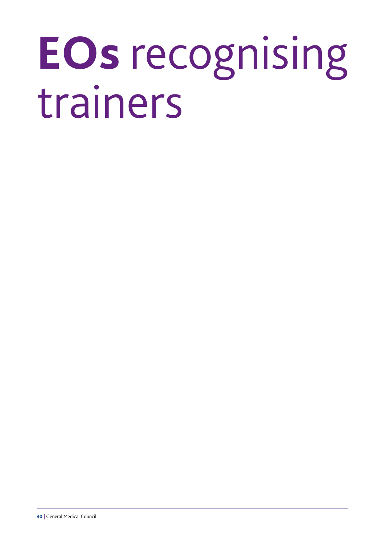## <span id="page-31-0"></span>**EOs** recognising trainers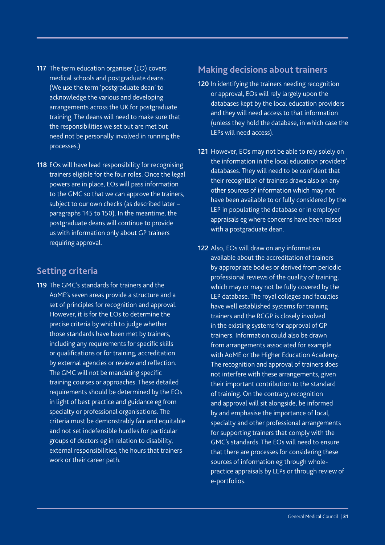- <span id="page-32-0"></span>**117** The term education organiser (EO) covers medical schools and postgraduate deans. (We use the term 'postgraduate dean' to acknowledge the various and developing arrangements across the UK for postgraduate training. The deans will need to make sure that the responsibilities we set out are met but need not be personally involved in running the processes.)
- **118** EOs will have lead responsibility for recognising trainers eligible for the four roles. Once the legal powers are in place, EOs will pass information to the GMC so that we can approve the trainers, subject to our own checks (as described later – paragraphs 145 to 150). In the meantime, the postgraduate deans will continue to provide us with information only about GP trainers requiring approval.

#### **Setting criteria**

**119** The GMC's standards for trainers and the AoME's seven areas provide a structure and a set of principles for recognition and approval. However, it is for the EOs to determine the precise criteria by which to judge whether those standards have been met by trainers, including any requirements for specific skills or qualifications or for training, accreditation by external agencies or review and reflection. The GMC will not be mandating specific training courses or approaches. These detailed requirements should be determined by the EOs in light of best practice and guidance eg from specialty or professional organisations. The criteria must be demonstrably fair and equitable and not set indefensible hurdles for particular groups of doctors eg in relation to disability, external responsibilities, the hours that trainers work or their career path.

### **Making decisions about trainers**

- **120** In identifying the trainers needing recognition or approval, EOs will rely largely upon the databases kept by the local education providers and they will need access to that information (unless they hold the database, in which case the LEPs will need access).
- **121** However, EOs may not be able to rely solely on the information in the local education providers' databases. They will need to be confident that their recognition of trainers draws also on any other sources of information which may not have been available to or fully considered by the LEP in populating the database or in employer appraisals eg where concerns have been raised with a postgraduate dean.
- **122** Also, EOs will draw on any information available about the accreditation of trainers by appropriate bodies or derived from periodic professional reviews of the quality of training, which may or may not be fully covered by the LEP database. The royal colleges and faculties have well established systems for training trainers and the RCGP is closely involved in the existing systems for approval of GP trainers. Information could also be drawn from arrangements associated for example with AoME or the Higher Education Academy. The recognition and approval of trainers does not interfere with these arrangements, given their important contribution to the standard of training. On the contrary, recognition and approval will sit alongside, be informed by and emphasise the importance of local, specialty and other professional arrangements for supporting trainers that comply with the GMC's standards. The EOs will need to ensure that there are processes for considering these sources of information eg through wholepractice appraisals by LEPs or through review of e-portfolios.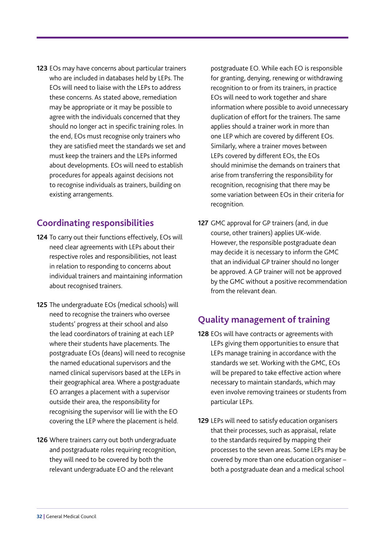<span id="page-33-0"></span>**123** EOs may have concerns about particular trainers who are included in databases held by LEPs. The EOs will need to liaise with the LEPs to address these concerns. As stated above, remediation may be appropriate or it may be possible to agree with the individuals concerned that they should no longer act in specific training roles. In the end, EOs must recognise only trainers who they are satisfied meet the standards we set and must keep the trainers and the LEPs informed about developments. EOs will need to establish procedures for appeals against decisions not to recognise individuals as trainers, building on existing arrangements.

#### **Coordinating responsibilities**

- **124** To carry out their functions effectively, EOs will need clear agreements with LEPs about their respective roles and responsibilities, not least in relation to responding to concerns about individual trainers and maintaining information about recognised trainers.
- **125** The undergraduate EOs (medical schools) will need to recognise the trainers who oversee students' progress at their school and also the lead coordinators of training at each LEP where their students have placements. The postgraduate EOs (deans) will need to recognise the named educational supervisors and the named clinical supervisors based at the LEPs in their geographical area. Where a postgraduate EO arranges a placement with a supervisor outside their area, the responsibility for recognising the supervisor will lie with the EO covering the LEP where the placement is held.
- **126** Where trainers carry out both undergraduate and postgraduate roles requiring recognition, they will need to be covered by both the relevant undergraduate EO and the relevant

postgraduate EO. While each EO is responsible for granting, denying, renewing or withdrawing recognition to or from its trainers, in practice EOs will need to work together and share information where possible to avoid unnecessary duplication of effort for the trainers. The same applies should a trainer work in more than one LEP which are covered by different EOs. Similarly, where a trainer moves between LEPs covered by different EOs, the EOs should minimise the demands on trainers that arise from transferring the responsibility for recognition, recognising that there may be some variation between EOs in their criteria for recognition.

**127** GMC approval for GP trainers (and, in due course, other trainers) applies UK-wide. However, the responsible postgraduate dean may decide it is necessary to inform the GMC that an individual GP trainer should no longer be approved. A GP trainer will not be approved by the GMC without a positive recommendation from the relevant dean.

### **Quality management of training**

- **128** EOs will have contracts or agreements with LEPs giving them opportunities to ensure that LEPs manage training in accordance with the standards we set. Working with the GMC, EOs will be prepared to take effective action where necessary to maintain standards, which may even involve removing trainees or students from particular LEPs.
- **129** LEPs will need to satisfy education organisers that their processes, such as appraisal, relate to the standards required by mapping their processes to the seven areas. Some LEPs may be covered by more than one education organiser – both a postgraduate dean and a medical school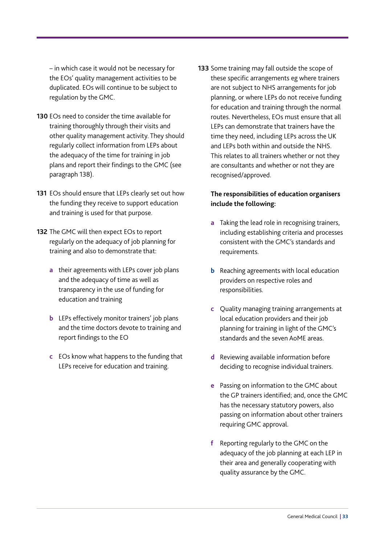– in which case it would not be necessary for the EOs' quality management activities to be duplicated. EOs will continue to be subject to regulation by the GMC.

- **130** EOs need to consider the time available for training thoroughly through their visits and other quality management activity. They should regularly collect information from LEPs about the adequacy of the time for training in job plans and report their findings to the GMC (see paragraph 138).
- **131** EOs should ensure that LEPs clearly set out how the funding they receive to support education and training is used for that purpose.
- **132** The GMC will then expect EOs to report regularly on the adequacy of job planning for training and also to demonstrate that:
	- **a** their agreements with LEPs cover job plans and the adequacy of time as well as transparency in the use of funding for education and training
	- **b** LEPs effectively monitor trainers' job plans and the time doctors devote to training and report findings to the EO
	- **c** EOs know what happens to the funding that LEPs receive for education and training.

**133** Some training may fall outside the scope of these specific arrangements eg where trainers are not subject to NHS arrangements for job planning, or where LEPs do not receive funding for education and training through the normal routes. Nevertheless, EOs must ensure that all LEPs can demonstrate that trainers have the time they need, including LEPs across the UK and LEPs both within and outside the NHS. This relates to all trainers whether or not they are consultants and whether or not they are recognised/approved.

#### **The responsibilities of education organisers include the following:**

- **a** Taking the lead role in recognising trainers, including establishing criteria and processes consistent with the GMC's standards and requirements.
- **b** Reaching agreements with local education providers on respective roles and responsibilities.
- **c** Quality managing training arrangements at local education providers and their job planning for training in light of the GMC's standards and the seven AoME areas.
- **d** Reviewing available information before deciding to recognise individual trainers.
- **e** Passing on information to the GMC about the GP trainers identified; and, once the GMC has the necessary statutory powers, also passing on information about other trainers requiring GMC approval.
- **f** Reporting regularly to the GMC on the adequacy of the job planning at each LEP in their area and generally cooperating with quality assurance by the GMC.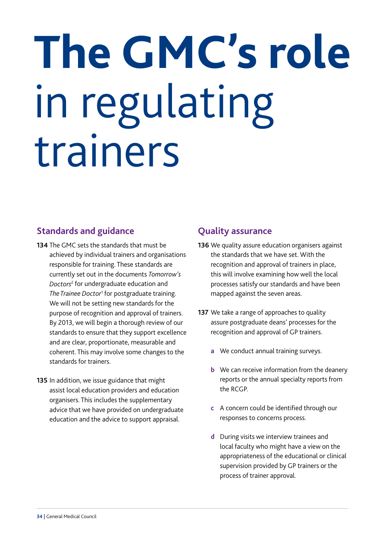# <span id="page-35-0"></span>**The GMC's role**  in regulating trainers

### **Standards and guidance**

- **134** The GMC sets the standards that must be achieved by individual trainers and organisations responsible for training. These standards are currently set out in the documents *[Tomorrow's](http://www.gmc-uk.org/education/undergraduate/tomorrows_doctors.asp)  [Doctors](http://www.gmc-uk.org/education/undergraduate/tomorrows_doctors.asp)*<sup>2</sup> for undergraduate education and *[The Trainee Doctor](http://www.gmc-uk.org/education/postgraduate/standards_and_guidance.asp)*<sup>1</sup> for postgraduate training. We will not be setting new standards for the purpose of recognition and approval of trainers. By 2013, we will begin a thorough review of our standards to ensure that they support excellence and are clear, proportionate, measurable and coherent. This may involve some changes to the standards for trainers.
- **135** In addition, we issue guidance that might assist local education providers and education organisers. This includes the supplementary advice that we have provided on undergraduate education and the advice to support appraisal.

### **Quality assurance**

- **136** We quality assure education organisers against the standards that we have set. With the recognition and approval of trainers in place, this will involve examining how well the local processes satisfy our standards and have been mapped against the seven areas.
- **137** We take a range of approaches to quality assure postgraduate deans' processes for the recognition and approval of GP trainers.
	- **a** We conduct annual training surveys.
	- **b** We can receive information from the deanery reports or the annual specialty reports from the RCGP.
	- **c** A concern could be identified through our responses to concerns process.
	- **d** During visits we interview trainees and local faculty who might have a view on the appropriateness of the educational or clinical supervision provided by GP trainers or the process of trainer approval.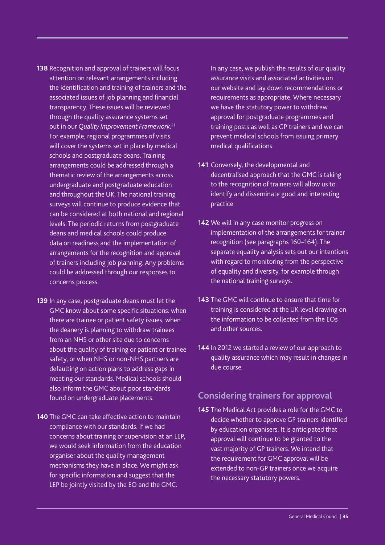- <span id="page-36-0"></span>**138** Recognition and approval of trainers will focus attention on relevant arrangements including the identification and training of trainers and the associated issues of job planning and financial transparency. These issues will be reviewed through the quality assurance systems set out in our *[Quality Improvement Framework](http://www.gmc-uk.org/education/assuring_quality.asp)*. 21 For example, regional programmes of visits will cover the systems set in place by medical schools and postgraduate deans. Training arrangements could be addressed through a thematic review of the arrangements across undergraduate and postgraduate education and throughout the UK. The national training surveys will continue to produce evidence that can be considered at both national and regional levels. The periodic returns from postgraduate deans and medical schools could produce data on readiness and the implementation of arrangements for the recognition and approval of trainers including job planning. Any problems could be addressed through our responses to concerns process.
- **139** In any case, postgraduate deans must let the GMC know about some specific situations: when there are trainee or patient safety issues, when the deanery is planning to withdraw trainees from an NHS or other site due to concerns about the quality of training or patient or trainee safety, or when NHS or non-NHS partners are defaulting on action plans to address gaps in meeting our standards. Medical schools should also inform the GMC about poor standards found on undergraduate placements.
- **140** The GMC can take effective action to maintain compliance with our standards. If we had concerns about training or supervision at an LEP, we would seek information from the education organiser about the quality management mechanisms they have in place. We might ask for specific information and suggest that the LEP be jointly visited by the EO and the GMC.

In any case, we publish the results of our quality assurance visits and associated activities on our website and lay down recommendations or requirements as appropriate. Where necessary we have the statutory power to withdraw approval for postgraduate programmes and training posts as well as GP trainers and we can prevent medical schools from issuing primary medical qualifications.

- **141** Conversely, the developmental and decentralised approach that the GMC is taking to the recognition of trainers will allow us to identify and disseminate good and interesting practice.
- **142** We will in any case monitor progress on implementation of the arrangements for trainer recognition (see paragraphs 160–164). The separate equality analysis sets out our intentions with regard to monitoring from the perspective of equality and diversity, for example through the national training surveys.
- **143** The GMC will continue to ensure that time for training is considered at the UK level drawing on the information to be collected from the EOs and other sources.
- **144** In 2012 we started a review of our approach to quality assurance which may result in changes in due course.

### **Considering trainers for approval**

**145** The Medical Act provides a role for the GMC to decide whether to approve GP trainers identified by education organisers. It is anticipated that approval will continue to be granted to the vast majority of GP trainers. We intend that the requirement for GMC approval will be extended to non-GP trainers once we acquire the necessary statutory powers.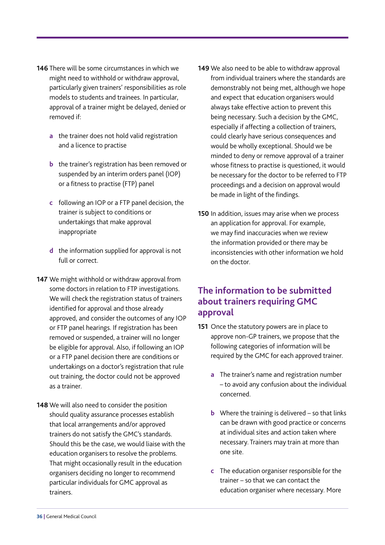- <span id="page-37-0"></span>**146** There will be some circumstances in which we might need to withhold or withdraw approval, particularly given trainers' responsibilities as role models to students and trainees. In particular, approval of a trainer might be delayed, denied or removed if:
	- **a** the trainer does not hold valid registration and a licence to practise
	- **b** the trainer's registration has been removed or suspended by an interim orders panel (IOP) or a fitness to practise (FTP) panel
	- **c** following an IOP or a FTP panel decision, the trainer is subject to conditions or undertakings that make approval inappropriate
	- **d** the information supplied for approval is not full or correct.
- **147** We might withhold or withdraw approval from some doctors in relation to FTP investigations. We will check the registration status of trainers identified for approval and those already approved, and consider the outcomes of any IOP or FTP panel hearings. If registration has been removed or suspended, a trainer will no longer be eligible for approval. Also, if following an IOP or a FTP panel decision there are conditions or undertakings on a doctor's registration that rule out training, the doctor could not be approved as a trainer.
- **148** We will also need to consider the position should quality assurance processes establish that local arrangements and/or approved trainers do not satisfy the GMC's standards. Should this be the case, we would liaise with the education organisers to resolve the problems. That might occasionally result in the education organisers deciding no longer to recommend particular individuals for GMC approval as trainers.
- **149** We also need to be able to withdraw approval from individual trainers where the standards are demonstrably not being met, although we hope and expect that education organisers would always take effective action to prevent this being necessary. Such a decision by the GMC, especially if affecting a collection of trainers, could clearly have serious consequences and would be wholly exceptional. Should we be minded to deny or remove approval of a trainer whose fitness to practise is questioned, it would be necessary for the doctor to be referred to FTP proceedings and a decision on approval would be made in light of the findings.
- **150** In addition, issues may arise when we process an application for approval. For example, we may find inaccuracies when we review the information provided or there may be inconsistencies with other information we hold on the doctor.

### **The information to be submitted about trainers requiring GMC approval**

- **151** Once the statutory powers are in place to approve non-GP trainers, we propose that the following categories of information will be required by the GMC for each approved trainer.
	- **a** The trainer's name and registration number – to avoid any confusion about the individual concerned.
	- **b** Where the training is delivered so that links can be drawn with good practice or concerns at individual sites and action taken where necessary. Trainers may train at more than one site.
	- **c** The education organiser responsible for the trainer – so that we can contact the education organiser where necessary. More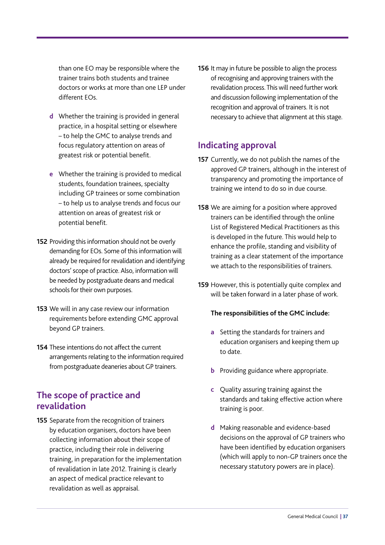<span id="page-38-0"></span>than one EO may be responsible where the trainer trains both students and trainee doctors or works at more than one LEP under different EOs.

- **d** Whether the training is provided in general practice, in a hospital setting or elsewhere – to help the GMC to analyse trends and focus regulatory attention on areas of greatest risk or potential benefit.
- **e** Whether the training is provided to medical students, foundation trainees, specialty including GP trainees or some combination – to help us to analyse trends and focus our attention on areas of greatest risk or potential benefit.
- **152** Providing this information should not be overly demanding for EOs. Some of this information will already be required for revalidation and identifying doctors' scope of practice. Also, information will be needed by postgraduate deans and medical schools for their own purposes.
- **153** We will in any case review our information requirements before extending GMC approval beyond GP trainers.
- **154** These intentions do not affect the current arrangements relating to the information required from postgraduate deaneries about GP trainers.

### **The scope of practice and revalidation**

**155** Separate from the recognition of trainers by education organisers, doctors have been collecting information about their scope of practice, including their role in delivering training, in preparation for the implementation of revalidation in late 2012. Training is clearly an aspect of medical practice relevant to revalidation as well as appraisal.

**156** It may in future be possible to align the process of recognising and approving trainers with the revalidation process. This will need further work and discussion following implementation of the recognition and approval of trainers. It is not necessary to achieve that alignment at this stage.

### **Indicating approval**

- **157** Currently, we do not publish the names of the approved GP trainers, although in the interest of transparency and promoting the importance of training we intend to do so in due course.
- **158** We are aiming for a position where approved trainers can be identified through the online List of Registered Medical Practitioners as this is developed in the future. This would help to enhance the profile, standing and visibility of training as a clear statement of the importance we attach to the responsibilities of trainers.
- **159** However, this is potentially quite complex and will be taken forward in a later phase of work.

#### **The responsibilities of the GMC include:**

- **a** Setting the standards for trainers and education organisers and keeping them up to date.
- **b** Providing guidance where appropriate.
- **c** Quality assuring training against the standards and taking effective action where training is poor.
- **d** Making reasonable and evidence-based decisions on the approval of GP trainers who have been identified by education organisers (which will apply to non-GP trainers once the necessary statutory powers are in place).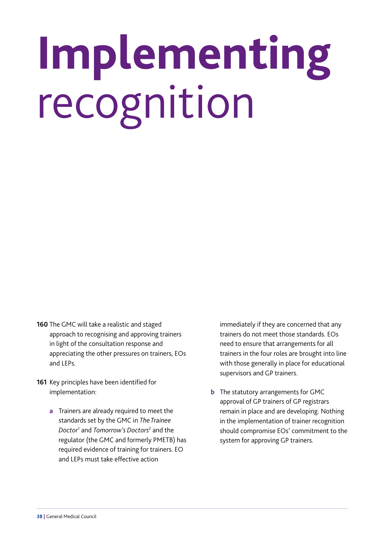# <span id="page-39-0"></span>**Implementing**  recognition

- **160** The GMC will take a realistic and staged approach to recognising and approving trainers in light of the consultation response and appreciating the other pressures on trainers, EOs and LEPs.
- **161** Key principles have been identified for implementation:
	- **a** Trainers are already required to meet the standards set by the GMC in *[The Trainee](http://www.gmc-uk.org/education/postgraduate/standards_and_guidance.asp)  [Doctor](http://www.gmc-uk.org/education/postgraduate/standards_and_guidance.asp)*<sup>1</sup> and *[Tomorrow's Doctors](http://www.gmc-uk.org/education/undergraduate/tomorrows_doctors.asp)*<sup>2</sup> and the regulator (the GMC and formerly PMETB) has required evidence of training for trainers. EO and LEPs must take effective action

immediately if they are concerned that any trainers do not meet those standards. EOs need to ensure that arrangements for all trainers in the four roles are brought into line with those generally in place for educational supervisors and GP trainers.

**b** The statutory arrangements for GMC approval of GP trainers of GP registrars remain in place and are developing. Nothing in the implementation of trainer recognition should compromise EOs' commitment to the system for approving GP trainers.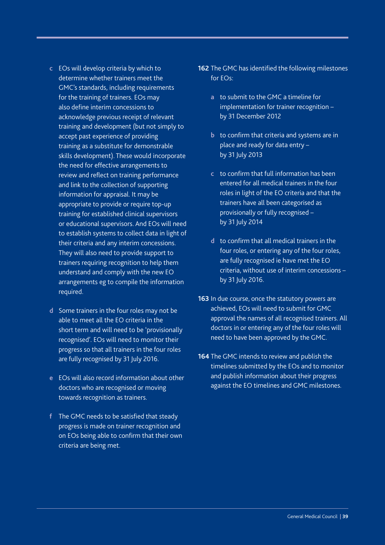- **c** EOs will develop criteria by which to determine whether trainers meet the GMC's standards, including requirements for the training of trainers. EOs may also define interim concessions to acknowledge previous receipt of relevant training and development (but not simply to accept past experience of providing training as a substitute for demonstrable skills development). These would incorporate the need for effective arrangements to review and reflect on training performance and link to the collection of supporting information for appraisal. It may be appropriate to provide or require top-up training for established clinical supervisors or educational supervisors. And EOs will need to establish systems to collect data in light of their criteria and any interim concessions. They will also need to provide support to trainers requiring recognition to help them understand and comply with the new EO arrangements eg to compile the information required.
- **d** Some trainers in the four roles may not be able to meet all the EO criteria in the short term and will need to be 'provisionally recognised'. EOs will need to monitor their progress so that all trainers in the four roles are fully recognised by 31 July 2016.
- **e** EOs will also record information about other doctors who are recognised or moving towards recognition as trainers.
- **f** The GMC needs to be satisfied that steady progress is made on trainer recognition and on EOs being able to confirm that their own criteria are being met.
- **162** The GMC has identified the following milestones for EOs:
	- **a** to submit to the GMC a timeline for implementation for trainer recognition – by 31 December 2012
	- **b** to confirm that criteria and systems are in place and ready for data entry – by 31 July 2013
	- **c** to confirm that full information has been entered for all medical trainers in the four roles in light of the EO criteria and that the trainers have all been categorised as provisionally or fully recognised – by 31 July 2014
	- **d** to confirm that all medical trainers in the four roles, or entering any of the four roles, are fully recognised ie have met the EO criteria, without use of interim concessions – by 31 July 2016.
- **163** In due course, once the statutory powers are achieved, EOs will need to submit for GMC approval the names of all recognised trainers. All doctors in or entering any of the four roles will need to have been approved by the GMC.
- **164** The GMC intends to review and publish the timelines submitted by the EOs and to monitor and publish information about their progress against the EO timelines and GMC milestones.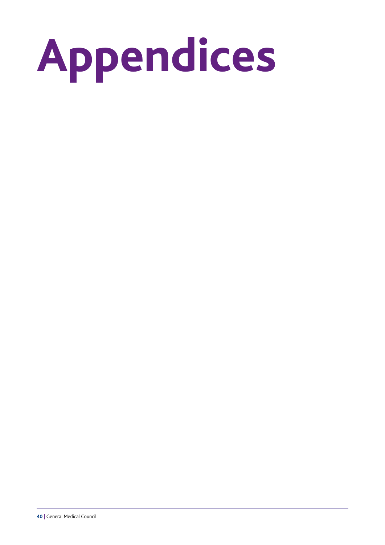<span id="page-41-0"></span>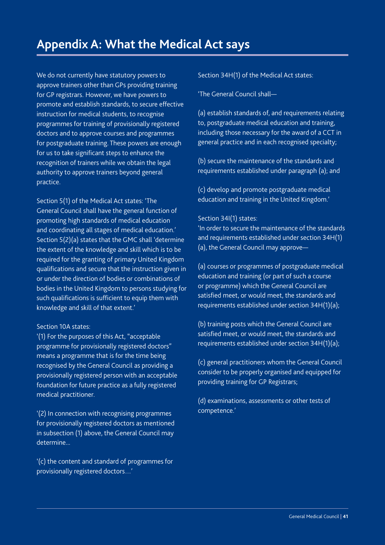<span id="page-42-0"></span>We do not currently have statutory powers to approve trainers other than GPs providing training for GP registrars. However, we have powers to promote and establish standards, to secure effective instruction for medical students, to recognise programmes for training of provisionally registered doctors and to approve courses and programmes for postgraduate training. These powers are enough for us to take significant steps to enhance the recognition of trainers while we obtain the legal authority to approve trainers beyond general practice.

Section 5(1) of the Medical Act states: 'The General Council shall have the general function of promoting high standards of medical education and coordinating all stages of medical education.' Section 5(2)(a) states that the GMC shall 'determine the extent of the knowledge and skill which is to be required for the granting of primary United Kingdom qualifications and secure that the instruction given in or under the direction of bodies or combinations of bodies in the United Kingdom to persons studying for such qualifications is sufficient to equip them with knowledge and skill of that extent.'

#### Section 10A states:

'(1) For the purposes of this Act, "acceptable programme for provisionally registered doctors" means a programme that is for the time being recognised by the General Council as providing a provisionally registered person with an acceptable foundation for future practice as a fully registered medical practitioner.

'(2) In connection with recognising programmes for provisionally registered doctors as mentioned in subsection (1) above, the General Council may determine...

'(c) the content and standard of programmes for provisionally registered doctors…'

Section 34H(1) of the Medical Act states:

'The General Council shall—

(a) establish standards of, and requirements relating to, postgraduate medical education and training, including those necessary for the award of a CCT in general practice and in each recognised specialty;

(b) secure the maintenance of the standards and requirements established under paragraph (a); and

(c) develop and promote postgraduate medical education and training in the United Kingdom.'

#### Section 34I(1) states:

'In order to secure the maintenance of the standards and requirements established under section 34H(1) (a), the General Council may approve—

(a) courses or programmes of postgraduate medical education and training (or part of such a course or programme) which the General Council are satisfied meet, or would meet, the standards and requirements established under section 34H(1)(a);

(b) training posts which the General Council are satisfied meet, or would meet, the standards and requirements established under section 34H(1)(a);

(c) general practitioners whom the General Council consider to be properly organised and equipped for providing training for GP Registrars;

(d) examinations, assessments or other tests of competence.'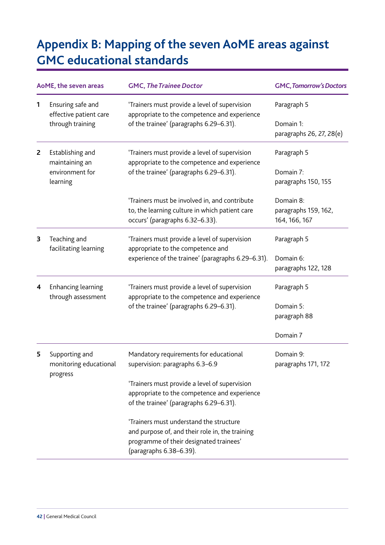## <span id="page-43-0"></span>**Appendix B: Mapping of the seven AoME areas against GMC educational standards**

| AoME, the seven areas |                                                                                                                                                                                                             | <b>GMC, The Trainee Doctor</b>                                                                                                                                   | <b>GMC, Tomorrow's Doctors</b>                     |
|-----------------------|-------------------------------------------------------------------------------------------------------------------------------------------------------------------------------------------------------------|------------------------------------------------------------------------------------------------------------------------------------------------------------------|----------------------------------------------------|
| 1                     | Ensuring safe and<br>'Trainers must provide a level of supervision<br>appropriate to the competence and experience<br>effective patient care<br>through training<br>of the trainee' (paragraphs 6.29-6.31). | Paragraph 5                                                                                                                                                      |                                                    |
|                       |                                                                                                                                                                                                             |                                                                                                                                                                  | Domain 1:<br>paragraphs 26, 27, 28(e)              |
| $\overline{2}$        | Establishing and<br>maintaining an<br>environment for<br>learning                                                                                                                                           | 'Trainers must provide a level of supervision<br>appropriate to the competence and experience<br>of the trainee' (paragraphs 6.29-6.31).                         | Paragraph 5                                        |
|                       |                                                                                                                                                                                                             |                                                                                                                                                                  | Domain 7:<br>paragraphs 150, 155                   |
|                       |                                                                                                                                                                                                             | 'Trainers must be involved in, and contribute<br>to, the learning culture in which patient care<br>occurs' (paragraphs 6.32-6.33).                               | Domain 8:<br>paragraphs 159, 162,<br>164, 166, 167 |
| 3                     | Teaching and<br>facilitating learning                                                                                                                                                                       | 'Trainers must provide a level of supervision<br>appropriate to the competence and<br>experience of the trainee' (paragraphs 6.29-6.31).                         | Paragraph 5                                        |
|                       |                                                                                                                                                                                                             |                                                                                                                                                                  | Domain 6:<br>paragraphs 122, 128                   |
| 4                     | <b>Enhancing learning</b><br>through assessment                                                                                                                                                             | 'Trainers must provide a level of supervision<br>appropriate to the competence and experience<br>of the trainee' (paragraphs 6.29-6.31).                         | Paragraph 5                                        |
|                       |                                                                                                                                                                                                             |                                                                                                                                                                  | Domain 5:<br>paragraph 88                          |
|                       |                                                                                                                                                                                                             |                                                                                                                                                                  | Domain 7                                           |
| 5                     | Supporting and<br>monitoring educational<br>progress                                                                                                                                                        | Mandatory requirements for educational<br>supervision: paragraphs 6.3-6.9                                                                                        | Domain 9:<br>paragraphs 171, 172                   |
|                       |                                                                                                                                                                                                             | 'Trainers must provide a level of supervision<br>appropriate to the competence and experience<br>of the trainee' (paragraphs 6.29-6.31).                         |                                                    |
|                       |                                                                                                                                                                                                             | 'Trainers must understand the structure<br>and purpose of, and their role in, the training<br>programme of their designated trainees'<br>(paragraphs 6.38-6.39). |                                                    |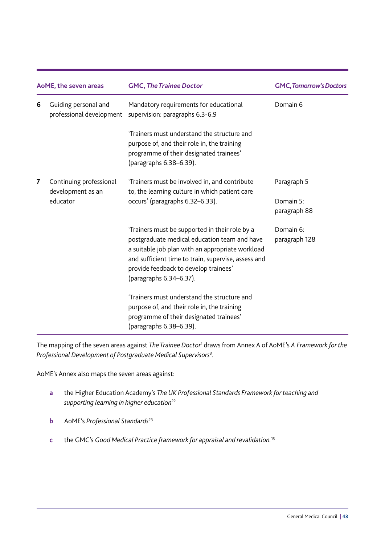| AoME, the seven areas |                                                  | <b>GMC, The Trainee Doctor</b>                                                                                                                                                                                                                                                | <b>GMC, Tomorrow's Doctors</b> |
|-----------------------|--------------------------------------------------|-------------------------------------------------------------------------------------------------------------------------------------------------------------------------------------------------------------------------------------------------------------------------------|--------------------------------|
| 6                     | Guiding personal and<br>professional development | Mandatory requirements for educational<br>supervision: paragraphs 6.3-6.9                                                                                                                                                                                                     | Domain 6                       |
|                       |                                                  | 'Trainers must understand the structure and<br>purpose of, and their role in, the training<br>programme of their designated trainees'<br>(paragraphs 6.38-6.39).                                                                                                              |                                |
| $\overline{7}$        | Continuing professional<br>development as an     | 'Trainers must be involved in, and contribute<br>to, the learning culture in which patient care                                                                                                                                                                               | Paragraph 5                    |
|                       | educator                                         | occurs' (paragraphs 6.32-6.33).                                                                                                                                                                                                                                               | Domain 5:<br>paragraph 88      |
|                       |                                                  | 'Trainers must be supported in their role by a<br>postgraduate medical education team and have<br>a suitable job plan with an appropriate workload<br>and sufficient time to train, supervise, assess and<br>provide feedback to develop trainees'<br>(paragraphs 6.34-6.37). | Domain 6:<br>paragraph 128     |
|                       |                                                  | 'Trainers must understand the structure and<br>purpose of, and their role in, the training<br>programme of their designated trainees'<br>(paragraphs 6.38-6.39).                                                                                                              |                                |

The mapping of the seven areas against *[The Trainee Doctor](http://www.gmc-uk.org/education/postgraduate/standards_and_guidance.asp)*<sup>1</sup> draws from Annex A of AoME's *A [Framework for the](http://www.medicaleducators.org/index.cfm/linkservid/C575BBE4-F39B-4267-31A42C8B64F0D3DE/showMeta/0/)  [Professional Development of Postgraduate Medical Supervisors](http://www.medicaleducators.org/index.cfm/linkservid/C575BBE4-F39B-4267-31A42C8B64F0D3DE/showMeta/0/)*<sup>3</sup> *.*

AoME's Annex also maps the seven areas against:

- **a** the Higher Education Academy's *[The UK Professional Standards Framework for teaching and](http://www.heacademy.ac.uk/ukpsf)  [supporting learning in higher education](http://www.heacademy.ac.uk/ukpsf)*<sup>22</sup>
- **b** AoME's *[Professional Standards](http://www.medicaleducators.org/index.cfm/profession/profstandards/)*<sup>23</sup>
- **c** the GMC's *[Good Medical Practice framework for appraisal and revalidation.](http://www.gmc-uk.org/doctors/revalidation.asp)*<sup>15</sup>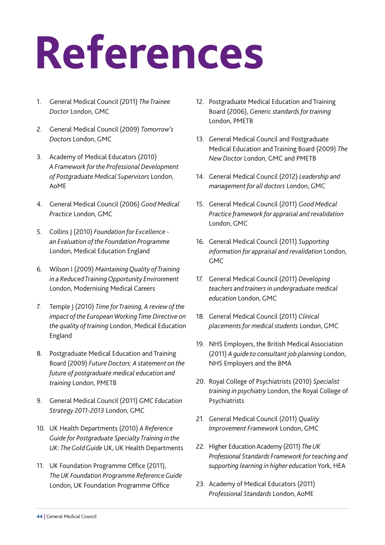## <span id="page-45-0"></span>**References**

- 1. [General Medical Council \(2011\)](http://www.gmc-uk.org/education/postgraduate/standards_and_guidance.asp) *The Trainee Doctor* London, GMC
- 2. [General Medical Council \(2009\)](http://www.gmc-uk.org/education/undergraduate/tomorrows_doctors.asp) *Tomorrow's Doctors* London, GMC
- 3. Academy of Medical Educators (2010) *[A Framework for the Professional Development](http://www.medicaleducators.org/index.cfm/linkservid/C575BBE4-F39B-4267-31A42C8B64F0D3DE/showMeta/0/) of Postgraduate Medical Supervisors* London, AoME
- 4. [General Medical Council \(2006\)](http://www.gmc-uk.org/guidance/good_medical_practice.asp) *Good Medical Practice* London, GMC
- 5. Collins J (2010) *Foundation for Excellence [an Evaluation of the Foundation Programme](http://www.mee.nhs.uk/pdf/401339_MEE_FoundationExcellence_acc.pdf)* London, Medical Education England
- 6. Wilson I (2009) *Maintaining Quality of Training [in a Reduced Training Opportunity Environment](http://www.mee.nhs.uk/PDF/Quality%20of%20Training%20FINAL.pdf)* London, Modernising Medical Careers
- 7. Temple J (2010) *Time for Training, A review of the [impact of the European Working Time Directive on](http://www.mee.nhs.uk/PDF/14274%20Bookmark%20Web%20Version.pdf)  the quality of training* London, Medical Education England
- 8. [Postgraduate Medical Education and Training](http://www.gmc-uk.org/Future_Doctors_Policy_Statement_20090923.pdf_30375088.pdf)  Board (2009) *Future Doctors: A statement on the future of postgraduate medical education and training* London, PMETB
- 9. [General Medical Council \(2011\)](http://www.gmc-uk.org/education/key_resources.asp) *GMC Education Strategy 2011-2013* London, GMC
- 10. UK Health Departments (2010) *A Reference [Guide for Postgraduate Specialty Training in the](http://www.mmc.nhs.uk/pdf/Gold%20Guide%202010%20Fourth%20Edition%20v08.pdf)  UK: The Gold Guide* UK, UK Health Departments
- 11. UK Foundation Programme Office (2011), *[The UK Foundation Programme Reference Guide](http://www.foundationprogramme.nhs.uk/index.asp?page=home/keydocs)* London, UK Foundation Programme Office
- 12. Postgraduate Medical Education and Training Board (2006), *Generic standards for training*  London, PMETB
- 13. General Medical Council and Postgraduate Medical Education and Training Board (2009) *The New Doctor* London, GMC and PMETB
- 14. [General Medical Council \(2012\)](http://www.gmc-uk.org/guidance/ethical_guidance/management_for_doctors.asp) *Leadership and management for all doctors* London, GMC
- 15. General Medical Council (2011) *Good Medical [Practice framework for appraisal and revalidation](http://www.gmc-uk.org/doctors/revalidation.asp)* London, GMC
- 16. General Medical Council (2011) *Supporting [information for appraisal and revalidation](http://www.gmc-uk.org/doctors/revalidation.asp)* London, GMC
- 17. General Medical Council (2011) *Developing [teachers and trainers in undergraduate medical](http://www.gmc-uk.org/education/undergraduate/8837.asp)  education* London, GMC
- 18. [General Medical Council \(2011\)](http://www.gmc-uk.org/education/undergraduate/8837.asp) *Clinical placements for medical students* London, GMC
- 19. [NHS Employers, the British Medical Association](http://www.nhsemployers.org/Aboutus/Publications/Pages/AGuideToConsultantJobPlanning.aspx)  (2011) *A guide to consultant job planning* London, NHS Employers and the BMA
- 20. [Royal College of Psychiatrists \(2010\)](http://www.rcpsych.ac.uk/PDF/OP69%2011%20January%202010.pdf) *Specialist training in psychiatry* London, the Royal College of Psychiatrists
- 21. [General Medical Council \(2011\)](http://www.gmc-uk.org/education/assuring_quality.asp) *Quality Improvement Framework* London, GMC
- 22. Higher Education Academy (2011) *The UK [Professional Standards Framework for teaching and](http://www.heacademy.ac.uk/ukpsf)  supporting learning in higher education* York, HEA
- 23. [Academy of Medical Educators \(2011\)](http://www.medicaleducators.org/index.cfm/profession/profstandards/)  *Professional Standards* London, AoME